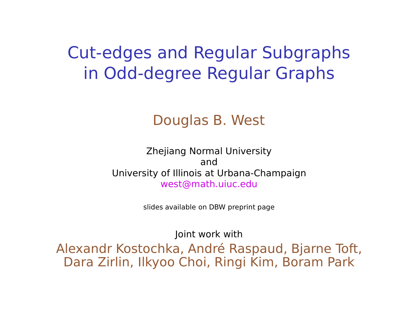# Cut-edges and Regular Subgraphs in Odd-degree Regular Graphs

#### Douglas B. West

Zhejiang Normal University and University of Illinois at Urbana-Champaign west@math.uiuc.edu

slides available on DBW preprint page

Joint work with

Alexandr Kostochka, André Raspaud, Bjarne Toft, Dara Zirlin, Ilkyoo Choi, Ringi Kim, Boram Park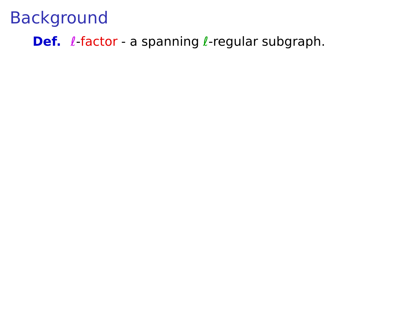**Def.** *l*-factor - a spanning *l*-regular subgraph.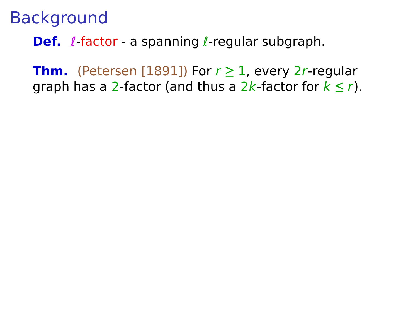**Def.** *l*-factor - a spanning *l*-regular subgraph.

**Thm.** (Petersen [1891]) For  $r \ge 1$ , every 2r-regular graph has a 2-factor (and thus a 2k-factor for k **≤** r).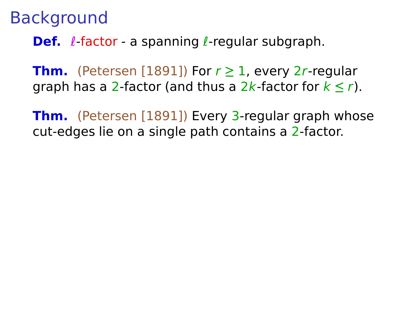**Def.** *l*-factor - a spanning *l*-regular subgraph.

**Thm.** (Petersen [1891]) For  $r \ge 1$ , every 2r-regular graph has a 2-factor (and thus a 2k-factor for k **≤** r).

**Thm.** (Petersen [1891]) Every 3-regular graph whose cut-edges lie on a single path contains a 2-factor.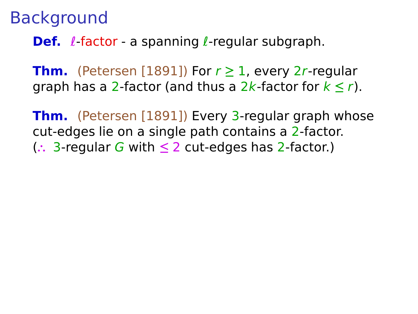**Def.** *l*-factor - a spanning *l*-regular subgraph.

**Thm.** (Petersen [1891]) For  $r \ge 1$ , every 2r-regular graph has a 2-factor (and thus a 2k-factor for k **≤** r).

**Thm.** (Petersen [1891]) Every 3-regular graph whose cut-edges lie on a single path contains a 2-factor. (**∴** 3-regular G with **≤** 2 cut-edges has 2-factor.)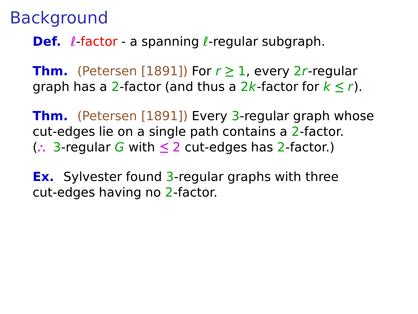**Def.** *l*-factor - a spanning *l*-regular subgraph.

**Thm.** (Petersen [1891]) For  $r \ge 1$ , every 2r-regular graph has a 2-factor (and thus a 2k-factor for k **≤** r).

**Thm.** (Petersen [1891]) Every 3-regular graph whose cut-edges lie on a single path contains a 2-factor. (**∴** 3-regular G with **≤** 2 cut-edges has 2-factor.)

**Ex.** Sylvester found 3-regular graphs with three cut-edges having no 2-factor.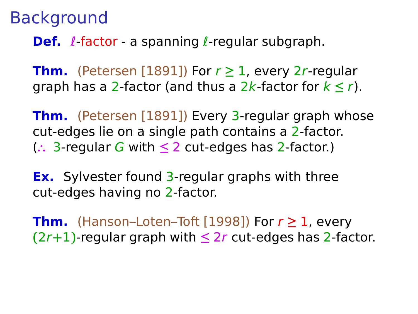**Def.** *l*-factor - a spanning *l*-regular subgraph.

**Thm.** (Petersen [1891]) For  $r \ge 1$ , every 2r-regular graph has a 2-factor (and thus a 2k-factor for k **≤** r).

**Thm.** (Petersen [1891]) Every 3-regular graph whose cut-edges lie on a single path contains a 2-factor. (**∴** 3-regular G with **≤** 2 cut-edges has 2-factor.)

**Ex.** Sylvester found 3-regular graphs with three cut-edges having no 2-factor.

**Thm.** (Hanson–Loten–Toft [1998]) For  $r \ge 1$ , every  $(2r+1)$ -regular graph with  $\leq 2r$  cut-edges has 2-factor.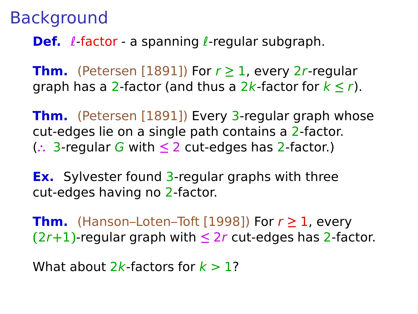**Def.** *l*-factor - a spanning *l*-regular subgraph.

**Thm.** (Petersen [1891]) For  $r \ge 1$ , every 2r-regular graph has a 2-factor (and thus a 2k-factor for k **≤** r).

**Thm.** (Petersen [1891]) Every 3-regular graph whose cut-edges lie on a single path contains a 2-factor. (**∴** 3-regular G with **≤** 2 cut-edges has 2-factor.)

**Ex.** Sylvester found 3-regular graphs with three cut-edges having no 2-factor.

**Thm.** (Hanson–Loten–Toft [1998]) For  $r \ge 1$ , every  $(2r+1)$ -regular graph with  $\leq 2r$  cut-edges has 2-factor.

```
What about 2k-factors for k > 1?
```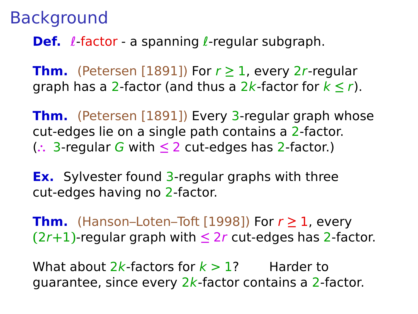**Def.** *l*-factor - a spanning *l*-regular subgraph.

**Thm.** (Petersen [1891]) For  $r \ge 1$ , every 2r-regular graph has a 2-factor (and thus a 2k-factor for k **≤** r).

**Thm.** (Petersen [1891]) Every 3-regular graph whose cut-edges lie on a single path contains a 2-factor. (**∴** 3-regular G with **≤** 2 cut-edges has 2-factor.)

**Ex.** Sylvester found 3-regular graphs with three cut-edges having no 2-factor.

**Thm.** (Hanson–Loten–Toft [1998]) For  $r \ge 1$ , every  $(2r+1)$ -regular graph with  $\leq 2r$  cut-edges has 2-factor.

What about 2k-factors for  $k > 1$ ? Harder to guarantee, since every  $2k$ -factor contains a 2-factor.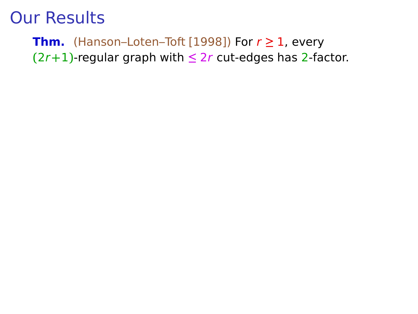#### **Thm.** (Hanson–Loten–Toft [1998]) For  $r \ge 1$ , every **(**2r**+**1**)**-regular graph with **≤** 2r cut-edges has 2-factor.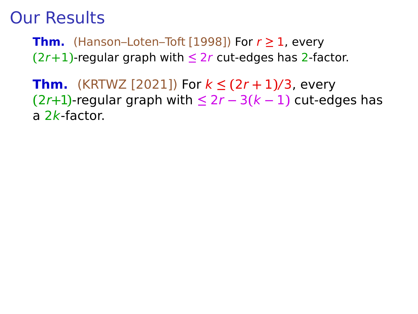**Thm.** (Hanson–Loten–Toft [1998]) For  $r \ge 1$ , every  $(2r+1)$ -regular graph with  $\leq 2r$  cut-edges has 2-factor.

**Thm.** (KRTWZ [2021]) For k **≤ (**2r **+** 1**)**/3, every **(**2r**+**1**)**-regular graph with **≤** 2r **−** 3**(**k **−** 1**)** cut-edges has a 2k-factor.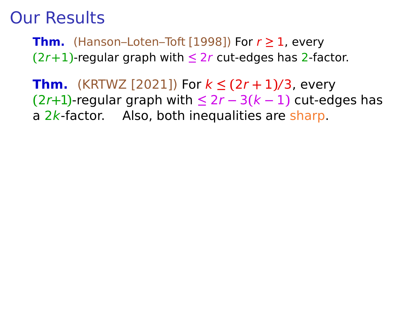**Thm.** (Hanson–Loten–Toft [1998]) For  $r \ge 1$ , every  $(2r+1)$ -regular graph with  $\leq 2r$  cut-edges has 2-factor.

**Thm.** (KRTWZ [2021]) For k **≤ (**2r **+** 1**)**/3, every **(**2r**+**1**)**-regular graph with **≤** 2r **−** 3**(**k **−** 1**)** cut-edges has a  $2k$ -factor. Also, both inequalities are sharp.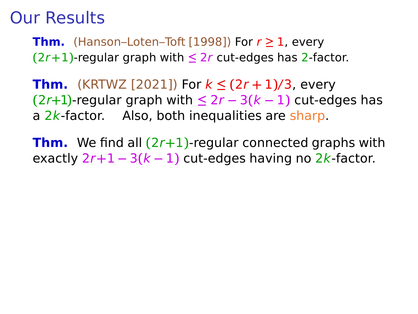**Thm.** (Hanson–Loten–Toft [1998]) For  $r \ge 1$ , every **(**2r**+**1**)**-regular graph with **≤** 2r cut-edges has 2-factor.

**Thm.** (KRTWZ [2021]) For k **≤ (**2r **+** 1**)**/3, every **(**2r**+**1**)**-regular graph with **≤** 2r **−** 3**(**k **−** 1**)** cut-edges has a  $2k$ -factor. Also, both inequalities are sharp.

**Thm.** We find all **(**2r**+**1**)**-regular connected graphs with exactly 2r**+**1 **−** 3**(**k **−** 1**)** cut-edges having no 2k-factor.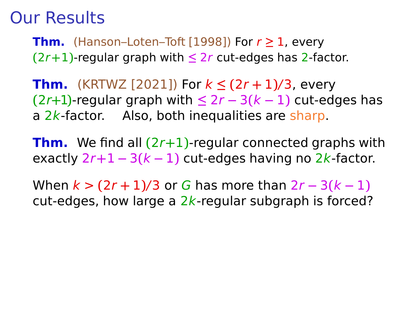**Thm.** (Hanson–Loten–Toft [1998]) For  $r \ge 1$ , every **(**2r**+**1**)**-regular graph with **≤** 2r cut-edges has 2-factor.

**Thm.** (KRTWZ [2021]) For k **≤ (**2r **+** 1**)**/3, every **(**2r**+**1**)**-regular graph with **≤** 2r **−** 3**(**k **−** 1**)** cut-edges has a  $2k$ -factor. Also, both inequalities are sharp.

**Thm.** We find all **(**2r**+**1**)**-regular connected graphs with exactly 2r**+**1 **−** 3**(**k **−** 1**)** cut-edges having no 2k-factor.

When k > **(**2r **+** 1**)**/3 or G has more than 2r **−** 3**(**k **−** 1**)** cut-edges, how large a  $2k$ -regular subgraph is forced?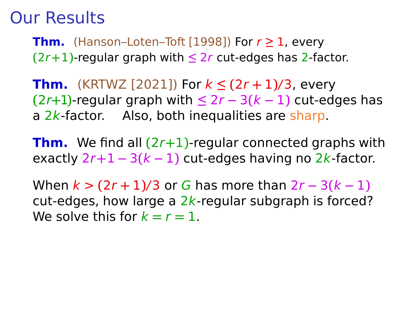**Thm.** (Hanson–Loten–Toft [1998]) For  $r \ge 1$ , every **(**2r**+**1**)**-regular graph with **≤** 2r cut-edges has 2-factor.

**Thm.** (KRTWZ [2021]) For k **≤ (**2r **+** 1**)**/3, every **(**2r**+**1**)**-regular graph with **≤** 2r **−** 3**(**k **−** 1**)** cut-edges has a  $2k$ -factor. Also, both inequalities are sharp.

**Thm.** We find all **(**2r**+**1**)**-regular connected graphs with exactly 2r**+**1 **−** 3**(**k **−** 1**)** cut-edges having no 2k-factor.

When k > **(**2r **+** 1**)**/3 or G has more than 2r **−** 3**(**k **−** 1**)** cut-edges, how large a  $2k$ -regular subgraph is forced? We solve this for  $k = r = 1$ .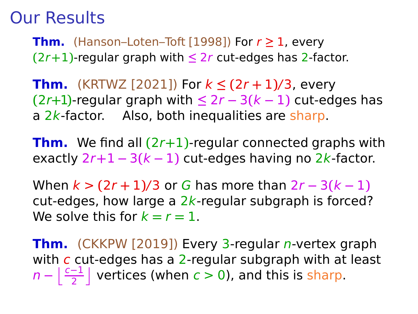**Thm.** (Hanson–Loten–Toft [1998]) For  $r \ge 1$ , every **(**2r**+**1**)**-regular graph with **≤** 2r cut-edges has 2-factor.

**Thm.** (KRTWZ [2021]) For k **≤ (**2r **+** 1**)**/3, every **(**2r**+**1**)**-regular graph with **≤** 2r **−** 3**(**k **−** 1**)** cut-edges has a  $2k$ -factor. Also, both inequalities are sharp.

**Thm.** We find all **(**2r**+**1**)**-regular connected graphs with exactly 2r**+**1 **−** 3**(**k **−** 1**)** cut-edges having no 2k-factor.

When k > **(**2r **+** 1**)**/3 or G has more than 2r **−** 3**(**k **−** 1**)** cut-edges, how large a  $2k$ -regular subgraph is forced? We solve this for  $k = r = 1$ .

**Thm.** (CKKPW [2019]) Every 3-regular *n*-vertex graph with  $c$  cut-edges has a 2-regular subgraph with at least  $n - \left\lfloor \frac{c-1}{2} \right\rfloor$  vertices (when  $c > 0$ ), and this is sharp.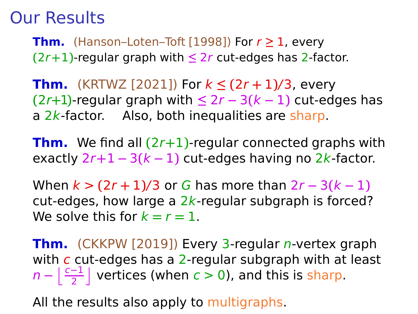**Thm.** (Hanson–Loten–Toft [1998]) For  $r \ge 1$ , every **(**2r**+**1**)**-regular graph with **≤** 2r cut-edges has 2-factor.

**Thm.** (KRTWZ [2021]) For k **≤ (**2r **+** 1**)**/3, every **(**2r**+**1**)**-regular graph with **≤** 2r **−** 3**(**k **−** 1**)** cut-edges has a  $2k$ -factor. Also, both inequalities are sharp.

**Thm.** We find all **(**2r**+**1**)**-regular connected graphs with exactly 2r**+**1 **−** 3**(**k **−** 1**)** cut-edges having no 2k-factor.

When k > **(**2r **+** 1**)**/3 or G has more than 2r **−** 3**(**k **−** 1**)** cut-edges, how large a  $2k$ -regular subgraph is forced? We solve this for  $k = r = 1$ .

**Thm.** (CKKPW [2019]) Every 3-regular *n*-vertex graph with  $c$  cut-edges has a 2-regular subgraph with at least  $n - \left\lfloor \frac{c-1}{2} \right\rfloor$  vertices (when  $c > 0$ ), and this is sharp.

All the results also apply to multigraphs.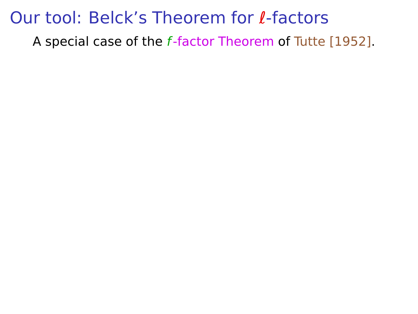A special case of the f-factor Theorem of Tutte [1952].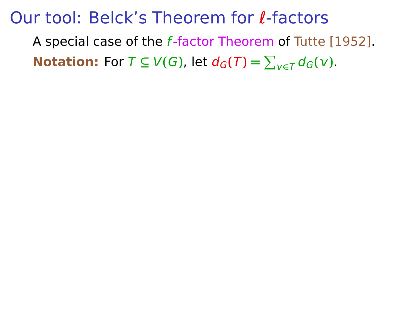A special case of the f-factor Theorem of Tutte [1952]. **Notation:** For  $T \subseteq V(G)$ , let  $d_G(T) = \sum_{v \in T} d_G(v)$ .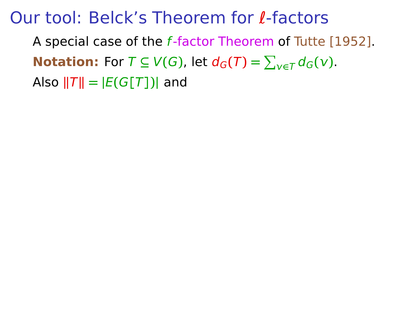A special case of the f-factor Theorem of Tutte [1952]. **Notation:** For  $T \subseteq V(G)$ , let  $d_G(T) = \sum_{v \in T} d_G(v)$ . Also  $||T|| = |E(G[T])|$  and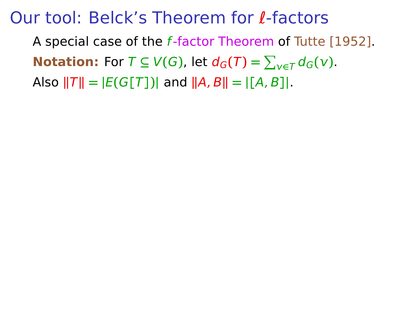A special case of the f-factor Theorem of Tutte [1952]. **Notation:** For  $T \subseteq V(G)$ , let  $d_G(T) = \sum_{v \in T} d_G(v)$ . Also  $||T|| = |E(G|T|)|$  and  $||A, B|| = |A, B||$ .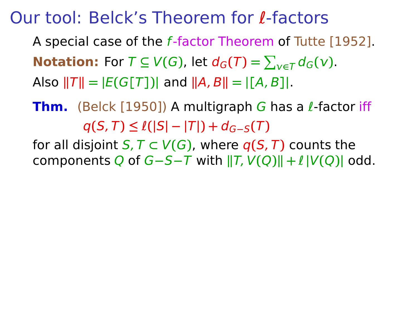A special case of the f-factor Theorem of Tutte [1952]. **Notation:** For  $T \subseteq V(G)$ , let  $d_G(T) = \sum_{v \in T} d_G(v)$ .  $\textsf{Also } ||T|| = |E(G[T])|$  and  $||A, B|| = |[A, B]|$ .

**Thm.** (Belck [1950]) A multigraph G has a l-factor iff  $q(S, T) \leq l(|S| - |T|) + d_{G-S}(T)$ 

for all disjoint  $S, T \subset V(G)$ , where  $q(S, T)$  counts the **components Q of G−S−T with**  $\|T, V(Q)\| + l\|V(Q)\|$  **odd.**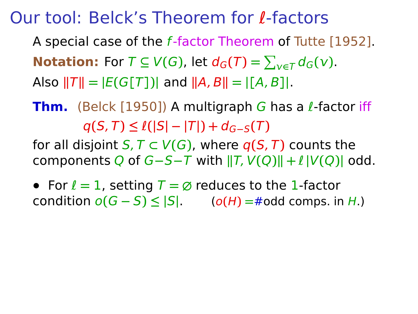A special case of the f-factor Theorem of Tutte [1952]. **Notation:** For  $T \subseteq V(G)$ , let  $d_G(T) = \sum_{v \in T} d_G(v)$ .  $\textsf{Also } ||T|| = |E(G[T])|$  and  $||A, B|| = |[A, B]|$ .

**Thm.** (Belck [1950]) A multigraph G has a l-factor iff  $q(S, T) \leq l(|S| - |T|) + d_{G-S}(T)$ 

for all disjoint  $S, T \subset V(G)$ , where  $q(S, T)$  counts the **components Q of G−S−T with**  $||T, V(Q)|| + \ell |V(Q)|$  **odd.** 

**•** For ℓ **=** 1, setting T **= ∅** reduces to the 1-factor **condition**  $o(G - S) ≤ |S|$ . ( $o(H) = #$ odd comps. in H.)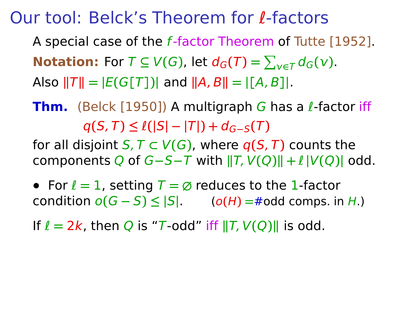A special case of the f-factor Theorem of Tutte [1952]. **Notation:** For  $T \subseteq V(G)$ , let  $d_G(T) = \sum_{v \in T} d_G(v)$ .  $\textsf{Also } ||T|| = |E(G[T])|$  and  $||A, B|| = |[A, B]|$ .

**Thm.** (Belck [1950]) A multigraph G has a l-factor iff  $q(S, T) \leq l(|S| - |T|) + d_{G-S}(T)$ 

for all disjoint  $S, T \subset V(G)$ , where  $q(S, T)$  counts the **components Q of G−S−T with**  $||T, V(Q)|| + \ell |V(Q)|$  **odd.** 

**•** For ℓ **=** 1, setting T **= ∅** reduces to the 1-factor **condition**  $o(G − S) ≤ |S|$ . ( $o(H) = #$ odd comps. in H.)

If  $\ell = 2k$ , then Q is "T-odd" iff  $||T, V(Q)||$  is odd.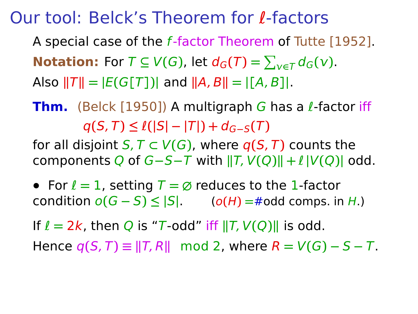A special case of the f-factor Theorem of Tutte [1952]. **Notation:** For  $T \subseteq V(G)$ , let  $d_G(T) = \sum_{v \in T} d_G(v)$ .  $\textsf{Also } ||T|| = |E(G[T])|$  and  $||A, B|| = |[A, B]|$ .

**Thm.** (Belck [1950]) A multigraph G has a l-factor iff  $q(S, T) \leq l(|S| - |T|) + d_{G-S}(T)$ 

for all disjoint  $S, T \subset V(G)$ , where  $q(S, T)$  counts the components Q of G**−**S**−**T with **k**T, V**(**Q**)k +** ℓ **|**V**(**Q**)|** odd.

**•** For ℓ **=** 1, setting T **= ∅** reduces to the 1-factor **condition**  $o(G − S) ≤ |S|$ . ( $o(H) = #$ odd comps. in H.)

If  $\ell = 2k$ , then Q is "T-odd" iff  $||T, V(Q)||$  is odd.

 $Hence q(S, T) \equiv ||T, R|| \mod 2$ , where  $R = V(G) - S - T$ .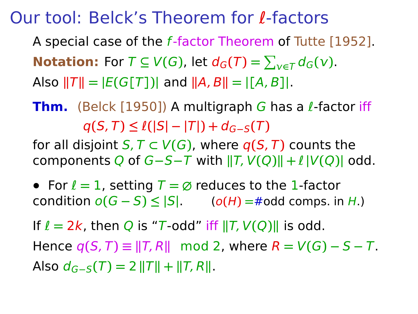A special case of the f-factor Theorem of Tutte [1952]. **Notation:** For  $T \subseteq V(G)$ , let  $d_G(T) = \sum_{v \in T} d_G(v)$ .  $\textsf{Also } ||T|| = |E(G[T])|$  and  $||A, B|| = |[A, B]|$ .

**Thm.** (Belck [1950]) A multigraph G has a l-factor iff  $q(S, T) \leq l(|S| - |T|) + d_{G-S}(T)$ 

for all disjoint  $S, T \subset V(G)$ , where  $q(S, T)$  counts the components Q of G**−**S**−**T with **k**T, V**(**Q**)k +** ℓ **|**V**(**Q**)|** odd.

**•** For ℓ **=** 1, setting T **= ∅** reduces to the 1-factor **condition**  $o(G − S) ≤ |S|$ . ( $o(H) = #$ odd comps. in H.)

If  $\ell = 2k$ , then Q is "T-odd" iff  $||T, V(Q)||$  is odd.

Hence  $q(S, T) \equiv ||T, R||$  mod 2, where  $R = V(G) - S - T$ .  $A$ **So**  $d_{G-S}(T) = 2 ||T|| + ||T, R||$ .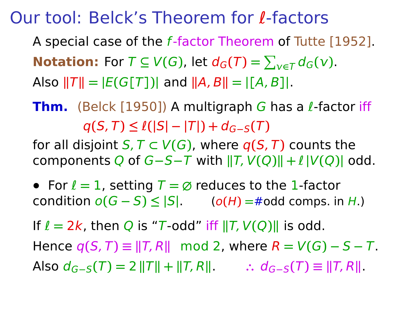A special case of the f-factor Theorem of Tutte [1952]. **Notation:** For  $T \subseteq V(G)$ , let  $d_G(T) = \sum_{v \in T} d_G(v)$ .  $\textsf{Also } ||T|| = |E(G[T])|$  and  $||A, B|| = |[A, B]|$ .

**Thm.** (Belck [1950]) A multigraph G has a l-factor iff  $q(S, T) \leq l(|S| - |T|) + d_{G-S}(T)$ 

for all disjoint  $S, T \subset V(G)$ , where  $q(S, T)$  counts the components Q of G**−**S**−**T with **k**T, V**(**Q**)k +** ℓ **|**V**(**Q**)|** odd.

**•** For ℓ **=** 1, setting T **= ∅** reduces to the 1-factor **condition**  $o(G - S) ≤ |S|$ . ( $o(H) = #$ odd comps. in H.)

If  $\ell = 2k$ , then Q is "T-odd" iff  $||T, V(Q)||$  is odd.

 $Hence q(S, T) \equiv ||T, R|| \mod 2$ , where  $R = V(G) - S - T$ .  $\text{Also } d_{G-S}(T) = 2 ||T|| + ||T, R||$   $\therefore d_{G-S}(T) \equiv ||T, R||$ .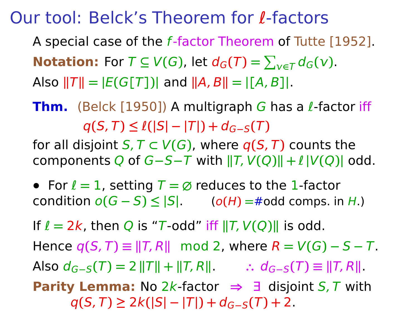A special case of the f-factor Theorem of Tutte [1952]. **Notation:** For  $T \subseteq V(G)$ , let  $d_G(T) = \sum_{v \in T} d_G(v)$ .  $\textsf{Also } ||T|| = |E(G[T])|$  and  $||A, B|| = |[A, B]|$ .

**Thm.** (Belck [1950]) A multigraph G has a l-factor iff  $q(S, T) \leq l(|S| - |T|) + d_{G-S}(T)$ 

for all disjoint  $S, T \subset V(G)$ , where  $q(S, T)$  counts the **components Q of G−S−T with**  $\|T, V(Q)\| + l\|V(Q)\|$  **odd.** 

**•** For ℓ **=** 1, setting T **= ∅** reduces to the 1-factor **condition**  $o(G - S) ≤ |S|$ . ( $o(H) = #$ odd comps. in H.)

If  $\ell = 2k$ , then Q is "T-odd" iff  $||T, V(Q)||$  is odd.

 $Hence q(S, T) \equiv ||T, R|| \mod 2$ , where  $R = V(G) - S - T$ .  $\text{Also } d_{G-S}(T) = 2 ||T|| + ||T, R||$   $\therefore d_{G-S}(T) \equiv ||T, R||$ .

**Parity Lemma:** No 2k-factor **⇒** ∃ disjoint S, T with  $q(S, T) \geq 2k(|S| - |T|) + d_{G-S}(T) + 2$ .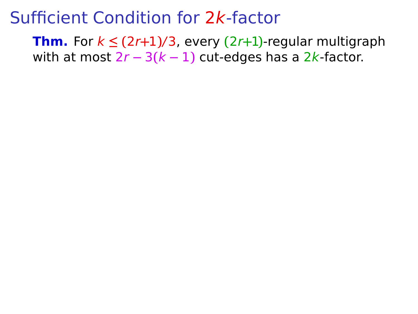**Thm.** For  $k \leq (2r+1)/3$ , every  $(2r+1)$ -regular multigraph with at most 2r **−** 3**(**k **−** 1**)** cut-edges has a 2k-factor.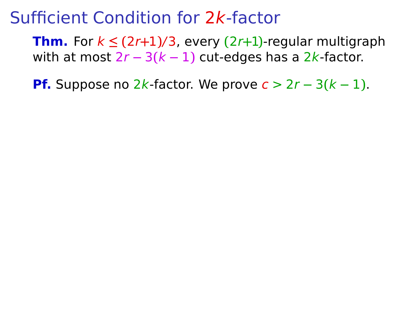**Thm.** For  $k \leq (2r+1)/3$ , every  $(2r+1)$ -regular multigraph with at most 2r **−** 3**(**k **−** 1**)** cut-edges has a 2k-factor.

**Pf.** Suppose no 2k-factor. We prove  $c > 2r - 3(k - 1)$ .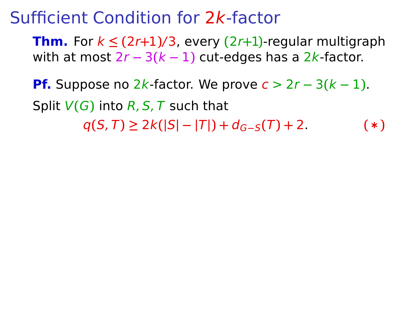**Thm.** For  $k \leq (2r+1)/3$ , every  $(2r+1)$ -regular multigraph with at most 2r **−** 3**(**k **−** 1**)** cut-edges has a 2k-factor.

**Pf.** Suppose no 2k-factor. We prove  $c > 2r - 3(k - 1)$ . Split V**(**G**)** into R, S, T such that  $q(S, T) \geq 2k(|S| - |T|) + d_{G-S}(T) + 2$ . (\*)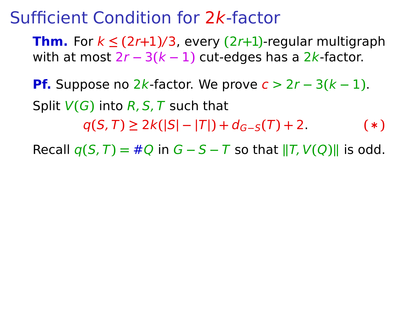**Thm.** For  $k \leq (2r+1)/3$ , every  $(2r+1)$ -regular multigraph with at most 2r **−** 3**(**k **−** 1**)** cut-edges has a 2k-factor.

**Pf.** Suppose no 2k-factor. We prove  $c > 2r - 3(k - 1)$ . Split V**(**G**)** into R, S, T such that  $q(S, T) \geq 2k(|S| - |T|) + d_{G-S}(T) + 2.$  (\*)

Recall  $q(S,T) = #Q$  in  $G - S - T$  so that  $||T, V(Q)||$  is odd.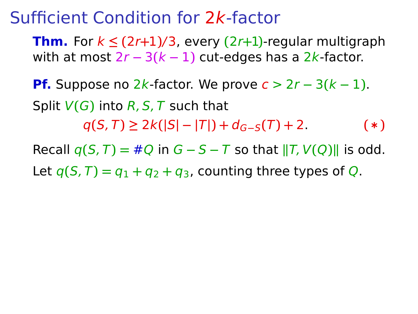**Thm.** For  $k \leq (2r+1)/3$ , every  $(2r+1)$ -regular multigraph with at most 2r **−** 3**(**k **−** 1**)** cut-edges has a 2k-factor.

**Pf.** Suppose no 2k-factor. We prove  $c > 2r - 3(k - 1)$ . Split V**(**G**)** into R, S, T such that

 $q(S, T) \geq 2k(|S| - |T|) + d_{G-S}(T) + 2.$  (\*)

Recall  $q(S,T) = #Q$  in  $G - S - T$  so that  $||T, V(Q)||$  is odd.

Let  $q(S,T) = q_1 + q_2 + q_3$ , counting three types of Q.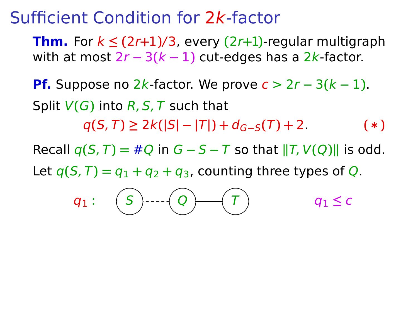**Thm.** For  $k \leq (2r+1)/3$ , every  $(2r+1)$ -regular multigraph with at most 2r **−** 3**(**k **−** 1**)** cut-edges has a 2k-factor.

**Pf.** Suppose no 2k-factor. We prove  $c > 2r - 3(k - 1)$ . Split V**(**G**)** into R, S, T such that

 $q(S, T) \geq 2k(|S| - |T|) + d_{G-S}(T) + 2.$  (\*)

Recall  $q(S,T) = #Q$  in  $G - S - T$  so that  $||T, V(Q)||$  is odd.

Let  $q(S,T) = q_1 + q_2 + q_3$ , counting three types of Q.

$$
q_1: \quad \boxed{S} \quad \text{---} \quad \boxed{Q} \quad \boxed{T} \qquad \qquad q_1 \leq c
$$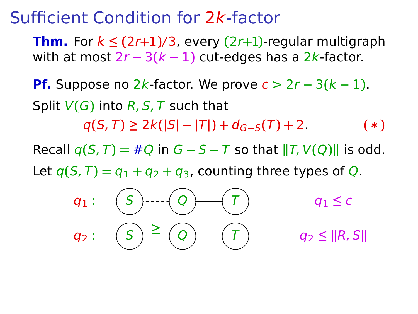**Thm.** For  $k \leq (2r+1)/3$ , every  $(2r+1)$ -regular multigraph with at most 2r **−** 3**(**k **−** 1**)** cut-edges has a 2k-factor.

**Pf.** Suppose no 2k-factor. We prove  $c > 2r - 3(k - 1)$ . Split V**(**G**)** into R, S, T such that

 $q(S, T) \geq 2k(|S| - |T|) + d_{G-S}(T) + 2.$  (\*)

Recall  $q(S,T) = #Q$  in  $G - S - T$  so that  $||T, V(Q)||$  is odd.

Let  $q(S,T) = q_1 + q_2 + q_3$ , counting three types of Q.

$$
q_1: \quad \boxed{S} \longrightarrow \boxed{Q} \longrightarrow \boxed{T} \qquad \qquad q_1 \leq c
$$
\n
$$
q_2: \quad \boxed{S} \geq \boxed{Q} \longrightarrow \boxed{T} \qquad \qquad q_2 \leq ||R, S||
$$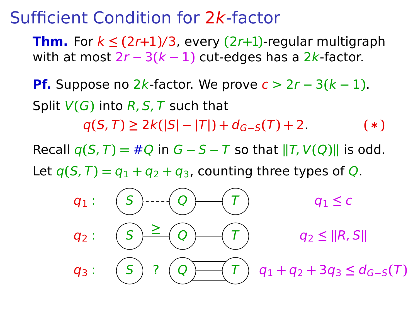**Thm.** For  $k \leq (2r+1)/3$ , every  $(2r+1)$ -regular multigraph with at most 2r **−** 3**(**k **−** 1**)** cut-edges has a 2k-factor.

**Pf.** Suppose no  $2k$ -factor. We prove  $c > 2r - 3(k - 1)$ . Split V**(**G**)** into R, S, T such that

 $q(S, T) \geq 2k(|S| - |T|) + d_{G-S}(T) + 2$ . (\*)

Recall  $q(S,T) = #Q$  in  $G - S - T$  so that  $||T, V(Q)||$  is odd.

Let  $q(S, T) = q_1 + q_2 + q_3$ , counting three types of Q.

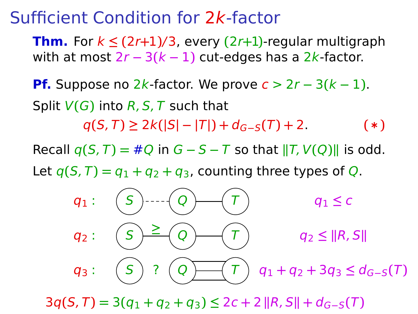# Sufficient Condition for 2k-factor

**Thm.** For  $k \leq (2r+1)/3$ , every  $(2r+1)$ -regular multigraph with at most 2r **−** 3**(**k **−** 1**)** cut-edges has a 2k-factor.

**Pf.** Suppose no  $2k$ -factor. We prove  $c > 2r - 3(k - 1)$ . Split V**(**G**)** into R, S, T such that

 $q(S, T) \geq 2k(|S| - |T|) + d_{G-S}(T) + 2$ . (\*)

Recall  $q(S,T) = #Q$  in  $G - S - T$  so that  $||T, V(Q)||$  is odd.

Let  $q(S, T) = q_1 + q_2 + q_3$ , counting three types of Q.



 $3q(S, T) = 3(q_1 + q_2 + q_3) \leq 2c + 2 \cdot R$ , S $\| + d_{G-S}(T)$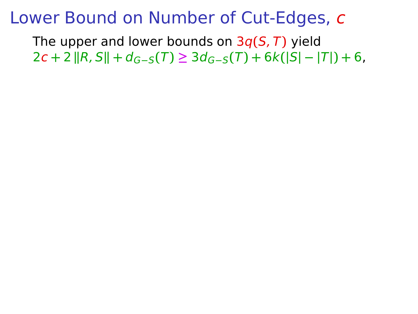The upper and lower bounds on 3q**(**S, T**)** yield  $2c + 2 ||R, S|| + d_{G-S}(T) \geq 3d_{G-S}(T) + 6k(|S| - |T|) + 6$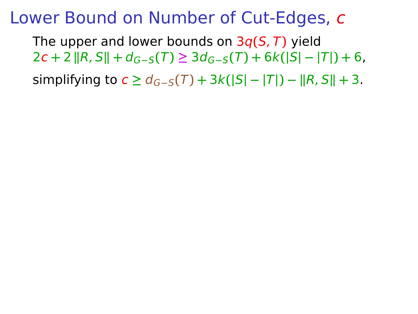The upper and lower bounds on 3q**(**S, T**)** yield  $2c + 2 ||R, S|| + d_{G-S}(T) \geq 3d_{G-S}(T) + 6k(|S| - |T|) + 6$ 

**Simplifying to c**  $\geq d_{G-S}(T) + 3k(|S| - |T|) - ||R, S|| + 3$ .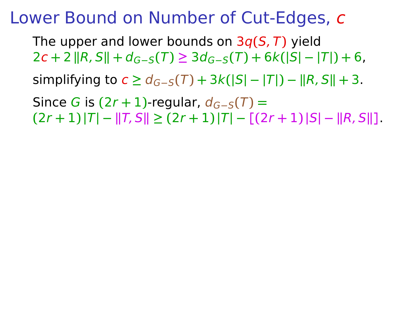The upper and lower bounds on 3q**(**S, T**)** yield  $2c + 2 ||R, S|| + d_{G-S}(T) \geq 3d_{G-S}(T) + 6k(|S| - |T|) + 6$  $\liminf_{n \to \infty}$  to  $c \geq d_{G-S}(T) + 3k(|S| - |T|) - ||R, S|| + 3.$  $Since G is (2r + 1)$ -regular,  $d_{G-S}(T) =$  $(|2r + 1)|T| - ||T, S|| \geq (2r + 1)|T| - [(2r + 1)|S| - ||R, S||].$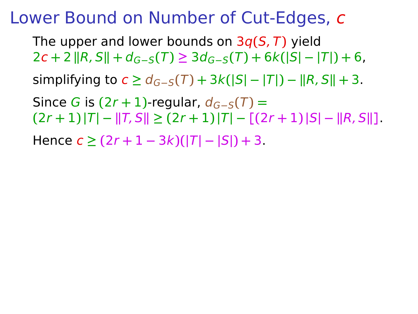The upper and lower bounds on 3q**(**S, T**)** yield  $2c + 2 ||R, S|| + d_{G-S}(T) \geq 3d_{G-S}(T) + 6k(|S| - |T|) + 6$  $\liminf_{n \to \infty}$  to  $c \geq d_{G-S}(T) + 3k(|S| - |T|) - ||R, S|| + 3.$  $Since G is (2r + 1)$ -regular,  $d_{G-S}(T) =$  $[(2r+1)|T| - ||T, S|| \geq (2r+1)|T| - [(2r+1)|S| - ||R, S||].$  $Hence$   $c$  ≥  $(2r + 1 - 3k)(|T| - |S|) + 3$ .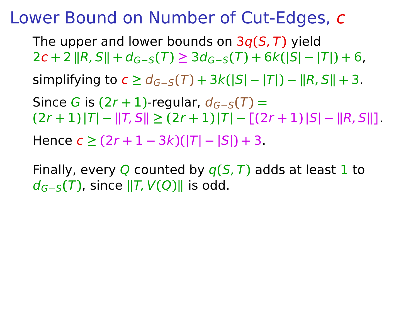The upper and lower bounds on 3q**(**S, T**)** yield  $2c + 2 ||R, S|| + d_{G-S}(T) \geq 3d_{G-S}(T) + 6k(|S| - |T|) + 6$  $\lim_{t \to \infty} \frac{\sinh(\pi t)}{t}$  to  $c \geq d_{G-S}(T) + 3k(|S| - |T|) - ||R, S|| + 3.$  $Since G is (2r + 1)$ -regular,  $d_{G-S}(T) =$  $[(2r+1)|T| - ||T, S|| \geq (2r+1)|T| - [(2r+1)|S| - ||R, S||].$  $Hence$   $c$  ≥  $(2r + 1 - 3k)(|T| - |S|) + 3$ .

Finally, every Q counted by q**(**S, T**)** adds at least 1 to dG**−**S**(**T**)**, since **k**T, V**(**Q**)k** is odd.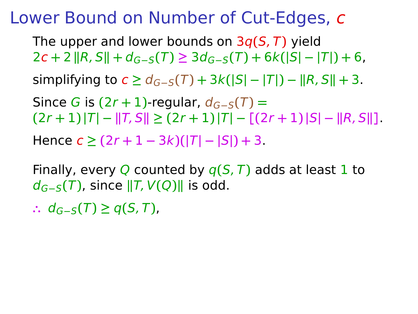The upper and lower bounds on 3q**(**S, T**)** yield  $2c + 2 ||R, S|| + d_{G-S}(T) \geq 3d_{G-S}(T) + 6k(|S| - |T|) + 6$  $\lim_{t \to \infty} \frac{\sinh(\pi t)}{t}$  to  $c \geq d_{G-S}(T) + 3k(|S| - |T|) - ||R, S|| + 3.$  $Since G is (2r + 1)$ -regular,  $d_{G-S}(T) =$  $[(2r+1)|T| - ||T, S|| \geq (2r+1)|T| - [(2r+1)|S| - ||R, S||].$  $Hence$   $c$  ≥  $(2r + 1 - 3k)(|T| - |S|) + 3$ .

Finally, every Q counted by q**(**S, T**)** adds at least 1 to dG**−**S**(**T**)**, since **k**T, V**(**Q**)k** is odd.

**∴** dG**−**S**(**T**) ≥** q**(**S, T**)**,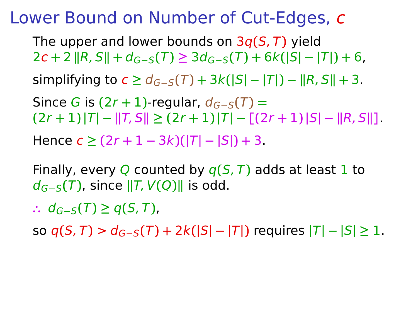The upper and lower bounds on 3q**(**S, T**)** yield  $2c + 2 ||R, S|| + d_{G-S}(T) \geq 3d_{G-S}(T) + 6k(|S| - |T|) + 6$  $\lim_{t \to \infty} \frac{\sinh(\pi t)}{t}$  to  $c \geq d_{G-S}(T) + 3k(|S| - |T|) - ||R, S|| + 3.$  $Since G is (2r + 1)$ -regular,  $d_{G-S}(T) =$  $[(2r+1)|T| - ||T, S|| \geq (2r+1)|T| - [(2r+1)|S| - ||R, S||].$  $Hence$   $c$  ≥  $(2r + 1 - 3k)(|T| - |S|) + 3$ .

Finally, every Q counted by q**(**S, T**)** adds at least 1 to  $d_{G-S}(T)$ , since  $||T, V(Q)||$  is odd.

**∴** dG**−**S**(**T**) ≥** q**(**S, T**)**,

so  $q(S, T) > d_{G-S}(T) + 2k(|S| - |T|)$  requires  $|T| - |S| \ge 1$ .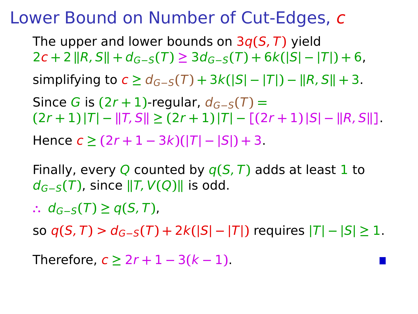The upper and lower bounds on 3q**(**S, T**)** yield  $2c + 2 ||R, S|| + d_{G-S}(T) \geq 3d_{G-S}(T) + 6k(|S| - |T|) + 6$  $\lim_{t \to \infty} \frac{\sinh(\pi t)}{t}$  to  $c \geq d_{G-S}(T) + 3k(|S| - |T|) - ||R, S|| + 3.$  $Since G is (2r + 1)$ -regular,  $d_{G-S}(T) =$  $[(2r+1)|T| - ||T, S|| \geq (2r+1)|T| - [(2r+1)|S| - ||R, S||].$  $Hence$   $c$  ≥  $(2r + 1 - 3k)(|T| - |S|) + 3$ .

Finally, every Q counted by q**(**S, T**)** adds at least 1 to  $d_{G-S}(T)$ , since  $||T, V(Q)||$  is odd.

**∴** dG**−**S**(**T**) ≥** q**(**S, T**)**,

**SO**  $q(S, T) > d_{G-S}(T) + 2k(|S| - |T|)$  requires  $|T| - |S| \ge 1$ .

Therefore, c **≥** 2r **+** 1 **−** 3**(**k **−** 1**)**.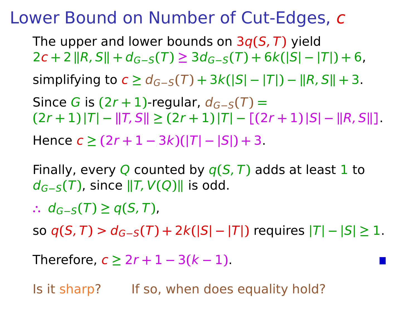The upper and lower bounds on 3q**(**S, T**)** yield  $2c + 2 ||R, S|| + d_{G-S}(T) \geq 3d_{G-S}(T) + 6k(|S| - |T|) + 6$  $\lim_{t \to \infty} \frac{\sinh(\pi t)}{t}$  to  $c \geq d_{G-S}(T) + 3k(|S| - |T|) - ||R, S|| + 3.$  $Since G is (2r + 1)$ -regular,  $d_{G-S}(T) =$  $(|2r + 1)|T| - ||T, S|| \geq (2r + 1)|T| - [(2r + 1)|S| - ||R, S||]$  $Hence$   $c$  ≥  $(2r + 1 - 3k)(|T| - |S|) + 3$ .

Finally, every Q counted by q**(**S, T**)** adds at least 1 to dG**−**S**(**T**)**, since **k**T, V**(**Q**)k** is odd.

**∴** dG**−**S**(**T**) ≥** q**(**S, T**)**,

so  $q(S, T) > d_{G-S}(T) + 2k(|S| - |T|)$  requires  $|T| - |S| \ge 1$ .

Therefore, c **≥** 2r **+** 1 **−** 3**(**k **−** 1**)**.

Is it sharp? If so, when does equality hold?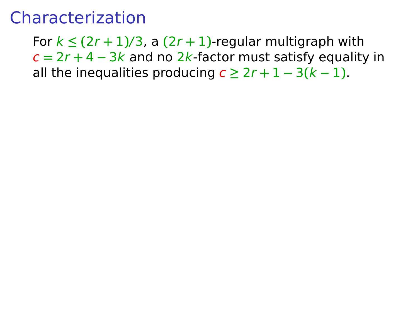# Characterization

For  $k \leq (2r + 1)/3$ , a  $(2r + 1)$ -regular multigraph with c **=** 2r **+** 4 **−** 3k and no 2k-factor must satisfy equality in all the inequalities producing  $c \geq 2r + 1 - 3(k - 1)$ .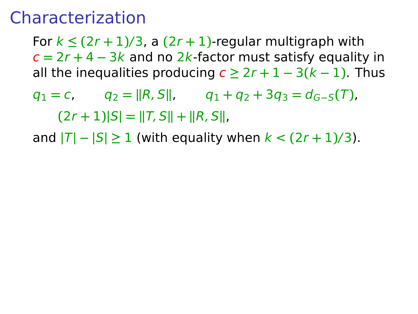# Characterization

For  $k \leq (2r + 1)/3$ , a  $(2r + 1)$ -regular multigraph with c **=** 2r **+** 4 **−** 3k and no 2k-factor must satisfy equality in all the inequalities producing  $c \geq 2r + 1 - 3(k - 1)$ . Thus

 $q_1 = c$ ,  $q_2 = ||R, S||$ ,  $q_1 + q_2 + 3q_3 = d_{G-S}(T)$ ,  $(2r + 1)$  $|S| = ||T, S|| + ||R, S||$ 

and  $|T| - |S| \ge 1$  (with equality when  $k < (2r + 1)/3$ ).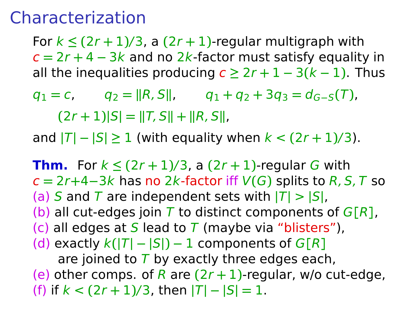# Characterization

For  $k \leq (2r + 1)/3$ , a  $(2r + 1)$ -regular multigraph with c **=** 2r **+** 4 **−** 3k and no 2k-factor must satisfy equality in all the inequalities producing  $c \geq 2r + 1 - 3(k - 1)$ . Thus

 $q_1 = c$ ,  $q_2 = ||R, S||$ ,  $q_1 + q_2 + 3q_3 = d_{G-S}(T)$ ,  $(2r + 1)|S| = ||T, S|| + ||R, S||$ 

and  $|T| - |S| \ge 1$  (with equality when  $k < (2r + 1)/3$ ).

**Thm.** For  $k \leq (2r + 1)/3$ , a  $(2r + 1)$ -regular G with c **=** 2r**+**4**−**3k has no 2k-factor iff V**(**G**)** splits to R, S, T so (a) S and T are independent sets with  $|T| > |S|$ , (b) all cut-edges join T to distinct components of  $G[R]$ , (c) all edges at S lead to T (maybe via "blisters"),  $k(|T| - |S|) - 1$  components of  $G[R]$ are joined to  $\overline{T}$  by exactly three edges each, (e) other comps. of R are **(**2r **+** 1**)**-regular, w/o cut-edge, (f) if  $k < (2r + 1)/3$ , then  $|T| - |S| = 1$ .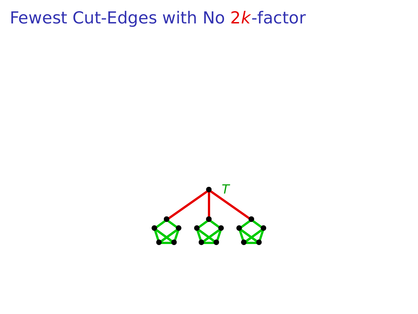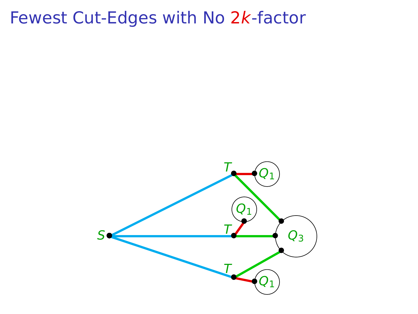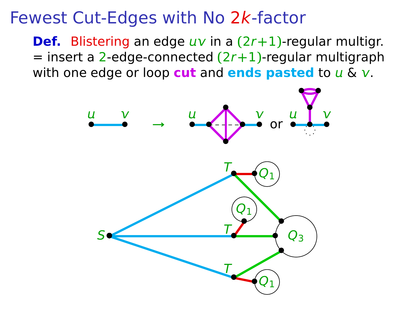**Def.** Blistering an edge  $uv$  in a  $(2r+1)$ -regular multigr. = insert a 2-edge-connected **(**2r**+**1**)**-regular multigraph with one edge or loop **cut** and **ends pasted** to  $u \& v$ .

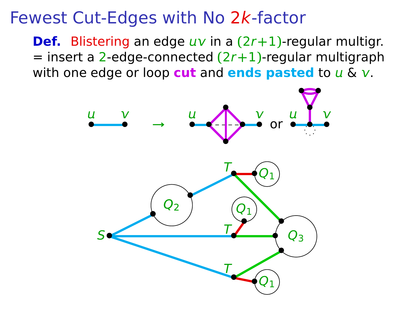**Def.** Blistering an edge  $uv$  in a  $(2r+1)$ -regular multigr. = insert a 2-edge-connected **(**2r**+**1**)**-regular multigraph with one edge or loop **cut** and **ends pasted** to  $u \& v$ .

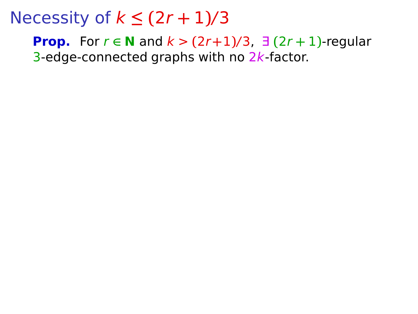**Prop.** For  $r \in \mathbb{N}$  and  $k > (2r+1)/3$ ,  $\exists$   $(2r+1)$ -regular 3-edge-connected graphs with no 2k-factor.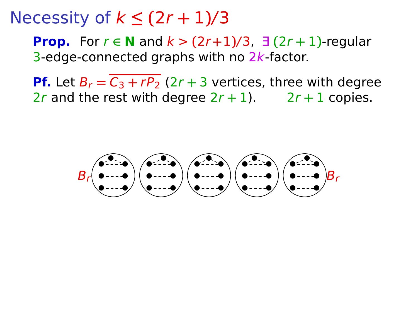**Prop.** For  $r \in \mathbb{N}$  and  $k > (2r+1)/3$ ,  $\exists$   $(2r+1)$ -regular 3-edge-connected graphs with no 2k-factor.

**Pf.** Let  $B_r = \overline{C_3 + rP_2}$  (2r + 3 vertices, three with degree 2r and the rest with degree  $2r + 1$ .  $2r + 1$  copies.

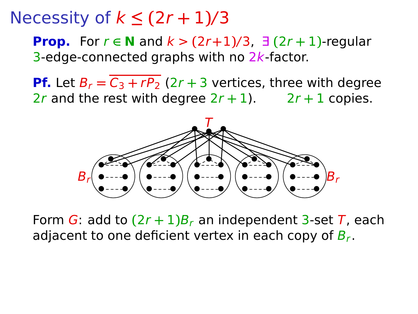**Prop.** For  $r \in \mathbb{N}$  and  $k > (2r+1)/3$ ,  $\exists$   $(2r+1)$ -regular 3-edge-connected graphs with no 2k-factor.

**Pf.** Let  $B_r = \overline{C_3 + rP_2}$  (2r + 3 vertices, three with degree 2r and the rest with degree  $2r + 1$ .  $2r + 1$  copies.



Form G: add to  $(2r + 1)B_r$  an independent 3-set T, each adiacent to one deficient vertex in each copy of  $B_r$ .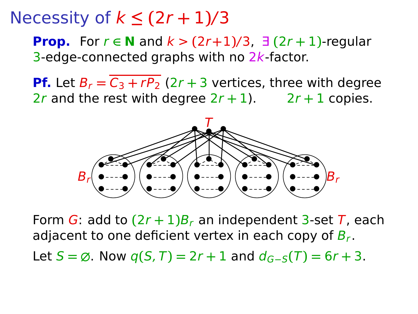**Prop.** For  $r \in \mathbb{N}$  and  $k > (2r+1)/3$ ,  $\exists$   $(2r+1)$ -regular 3-edge-connected graphs with no 2k-factor.

**Pf.** Let  $B_r = \overline{C_3 + rP_2}$  (2r + 3 vertices, three with degree 2r and the rest with degree  $2r + 1$ .  $2r + 1$  copies.



Form  $\overline{G}$ : add to  $(2r + 1)B_r$  an independent 3-set  $\overline{T}$ , each adjacent to one deficient vertex in each copy of  $B_r$ .

Let  $S = ∅$ . Now  $q(S, T) = 2r + 1$  and  $d_{G-S}(T) = 6r + 3$ .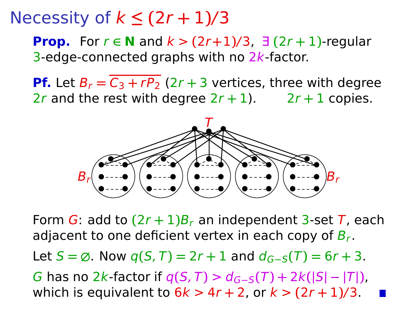**Prop.** For  $r \in \mathbb{N}$  and  $k > (2r+1)/3$ ,  $\exists$   $(2r+1)$ -regular 3-edge-connected graphs with no 2k-factor.

**Pf.** Let  $B_r = \overline{C_3 + rP_2}$  (2r + 3 vertices, three with degree 2r and the rest with degree  $2r + 1$ .  $2r + 1$  copies.



Form  $\overline{G}$ : add to  $(2r + 1)B_r$  an independent 3-set  $\overline{T}$ , each adjacent to one deficient vertex in each copy of  $B_r$ .

 $\text{Let } S = \emptyset$ . Now  $q(S, T) = 2r + 1$  and  $d_{G-S}(T) = 6r + 3$ .

 $G$  has no 2k-factor if  $q(S,T) > d_{G-S}(T) + 2k(|S| - |T|)$ , which is equivalent to  $6k > 4r + 2$ , or  $k > (2r + 1)/3$ .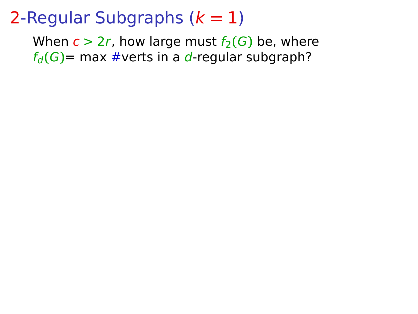When  $c > 2r$ , how large must  $f_2(G)$  be, where  $f_d(G)$ = max #verts in a d-regular subgraph?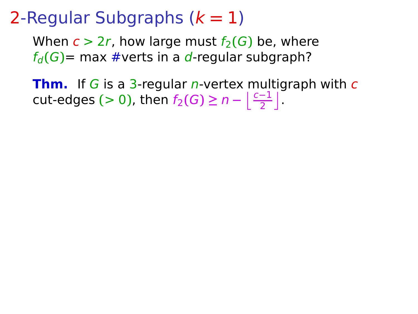When  $c > 2r$ , how large must  $f_2(G)$  be, where  $f_d(G)$ = max #verts in a d-regular subgraph?

**Thm.** If G is a 3-regular *n*-vertex multigraph with  $c$ cut-edges (> 0), then  $f_2(G) \ge n - \left\lfloor \frac{c-1}{2} \right\rfloor$ .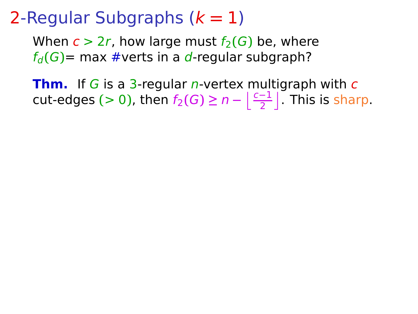When  $c > 2r$ , how large must  $f_2(G)$  be, where  $f_d(G)$ = max #verts in a d-regular subgraph?

**Thm.** If G is a 3-regular *n*-vertex multigraph with  $c$ cut-edges (> 0), then  $f_2(G) \ge n - \left\lfloor \frac{c-1}{2} \right\rfloor$ . This is sharp.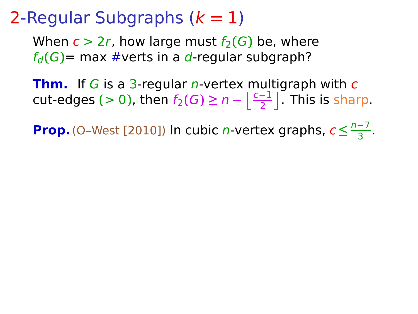When  $c > 2r$ , how large must  $f_2(G)$  be, where  $f_d(G)$ = max #verts in a d-regular subgraph?

**Thm.** If G is a 3-regular *n*-vertex multigraph with c cut-edges (> 0), then  $f_2(G) \ge n - \left\lfloor \frac{c-1}{2} \right\rfloor$ . This is sharp.

**Prop.** (O–West [2010]) In cubic *n*-vertex graphs,  $c \leq \frac{n-7}{3}$  $\frac{-7}{3}$ .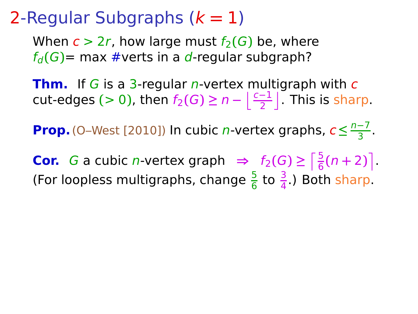When  $c > 2r$ , how large must  $f_2(G)$  be, where  $f_d(G)$ = max #verts in a d-regular subgraph?

**Thm.** If G is a 3-regular *n*-vertex multigraph with c cut-edges (> 0), then  $f_2(G) \ge n - \left\lfloor \frac{c-1}{2} \right\rfloor$ . This is sharp.

**Prop.** (O–West [2010]) In cubic *n*-vertex graphs,  $c \leq \frac{n-7}{3}$  $\frac{-7}{3}$ .

**Cor.** *G* a cubic *n*-vertex graph  $\Rightarrow$   $f_2(G) \ge \left\lceil \frac{5}{6}(n+2) \right\rceil$ . (For loopless multigraphs, change  $\frac{5}{6}$  to  $\frac{3}{4}$ .) Both sharp.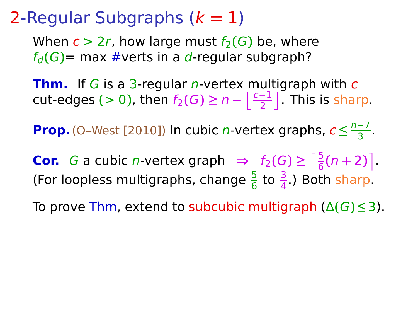When  $c > 2r$ , how large must  $f_2(G)$  be, where  $f_d(G)$ = max #verts in a d-regular subgraph?

**Thm.** If G is a 3-regular *n*-vertex multigraph with c cut-edges (> 0), then  $f_2(G) \ge n - \left\lfloor \frac{c-1}{2} \right\rfloor$ . This is sharp.

**Prop.** (O–West [2010]) In cubic *n*-vertex graphs,  $c \leq \frac{n-7}{3}$  $\frac{-7}{3}$ .

**Cor.** *G* a cubic *n*-vertex graph  $\Rightarrow$   $f_2(G) \ge \left\lceil \frac{5}{6}(n+2) \right\rceil$ . (For loopless multigraphs, change  $\frac{5}{6}$  to  $\frac{3}{4}$ .) Both sharp.

To prove Thm, extend to subcubic multigraph (Δ**(**G**)≤**3).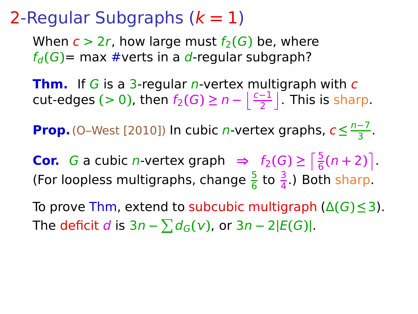When  $c > 2r$ , how large must  $f_2(G)$  be, where  $f_d(G)$ = max #verts in a d-regular subgraph?

**Thm.** If G is a 3-regular *n*-vertex multigraph with c cut-edges (> 0), then  $f_2(G) \ge n - \left\lfloor \frac{c-1}{2} \right\rfloor$ . This is sharp.

**Prop.** (O–West [2010]) In cubic *n*-vertex graphs,  $c \leq \frac{n-7}{3}$  $\frac{-7}{3}$ .

**Cor.** *G* a cubic *n*-vertex graph  $\Rightarrow$   $f_2(G) \ge \left\lceil \frac{5}{6}(n+2) \right\rceil$ . (For loopless multigraphs, change  $\frac{5}{6}$  to  $\frac{3}{4}$ .) Both sharp.

To prove Thm, extend to subcubic multigraph (Δ**(**G**)≤**3). The deficit d is  $3n - \sum d_G(v)$ , or  $3n - 2|E(G)|$ .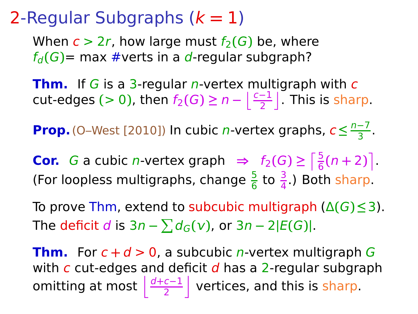When  $c > 2r$ , how large must  $f_2(G)$  be, where  $f_d(G)$ = max #verts in a d-regular subgraph?

**Thm.** If G is a 3-regular *n*-vertex multigraph with c cut-edges (> 0), then  $f_2(G) \ge n - \left\lfloor \frac{c-1}{2} \right\rfloor$ . This is sharp.

**Prop.** (O–West [2010]) In cubic *n*-vertex graphs,  $c \leq \frac{n-7}{3}$  $\frac{-7}{3}$ .

**Cor.** *G* a cubic *n*-vertex graph  $\Rightarrow$   $f_2(G) \ge \left\lceil \frac{5}{6}(n+2) \right\rceil$ . (For loopless multigraphs, change  $\frac{5}{6}$  to  $\frac{3}{4}$ .) Both sharp.

To prove Thm, extend to subcubic multigraph (Δ**(**G**)≤**3). The deficit d is  $3n - \sum d_G(v)$ , or  $3n - 2|E(G)|$ .

**Thm.** For  $c + d > 0$ , a subcubic *n*-vertex multigraph G with  $c$  cut-edges and deficit  $d$  has a 2-regular subgraph omitting at most  $\frac{d+c-1}{2}$  $\frac{c-1}{2}$  vertices, and this is sharp.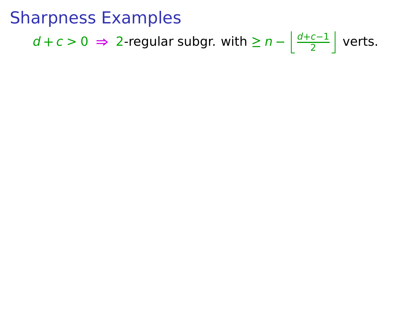$d + c > 0$  ⇒ 2-regular subgr. with  $\geq n - \left\lfloor \frac{d+c-1}{2} \right\rfloor$  $\frac{c-1}{2}$  verts.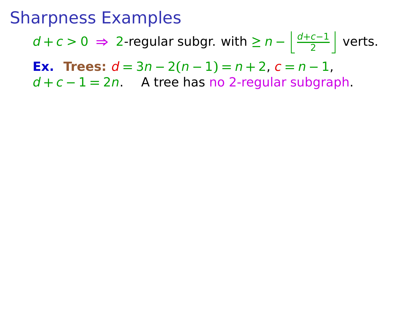$d + c > 0$  ⇒ 2-regular subgr. with  $\geq n - \left\lfloor \frac{d+c-1}{2} \right\rfloor$  $\frac{c-1}{2}$  verts.

**Ex. Trees:**  $d = 3n - 2(n - 1) = n + 2$ ,  $c = n - 1$ ,

d **+** c **−** 1 **=** 2n. A tree has no 2-regular subgraph.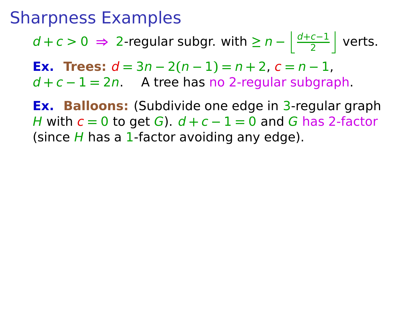$d + c > 0$  ⇒ 2-regular subgr. with  $\geq n - \left\lfloor \frac{d+c-1}{2} \right\rfloor$  $\frac{c-1}{2}$  verts.

**Ex. Trees:**  $d = 3n - 2(n - 1) = n + 2$ ,  $c = n - 1$ ,

d **+** c **−** 1 **=** 2n. A tree has no 2-regular subgraph.

**Ex. Balloons:** (Subdivide one edge in 3-regular graph H with c **=** 0 to get G). d **+** c **−** 1 **=** 0 and G has 2-factor (since  $H$  has a 1-factor avoiding any edge).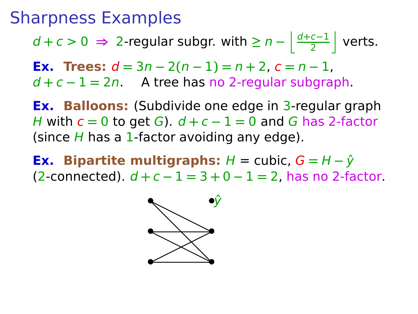$d + c > 0$  ⇒ 2-regular subgr. with  $\geq n - \left\lfloor \frac{d+c-1}{2} \right\rfloor$  $\frac{c-1}{2}$  verts.

**Ex. Trees:**  $d = 3n - 2(n - 1) = n + 2$ ,  $c = n - 1$ , d **+** c **−** 1 **=** 2n. A tree has no 2-regular subgraph.

**Ex. Balloons:** (Subdivide one edge in 3-regular graph H with c **=** 0 to get G). d **+** c **−** 1 **=** 0 and G has 2-factor (since  $H$  has a 1-factor avoiding any edge).

**Ex. Bipartite multigraphs:**  $H =$  cubic,  $G = H - \hat{y}$ (2-connected). d **+** c **−** 1 **=** 3 **+** 0 **−** 1 **=** 2, has no 2-factor.

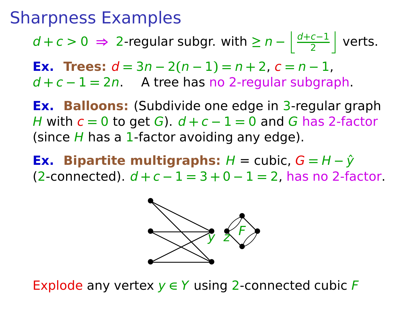$d + c > 0$  ⇒ 2-regular subgr. with  $\geq n - \left\lfloor \frac{d+c-1}{2} \right\rfloor$  $\frac{c-1}{2}$  verts.

**Ex. Trees:**  $d = 3n - 2(n - 1) = n + 2$ ,  $c = n - 1$ , d **+** c **−** 1 **=** 2n. A tree has no 2-regular subgraph.

**Ex. Balloons:** (Subdivide one edge in 3-regular graph H with c **=** 0 to get G). d **+** c **−** 1 **=** 0 and G has 2-factor (since  $H$  has a 1-factor avoiding any edge).

**Ex.** Bipartite multigraphs:  $H = \text{cubic}, G = H - \hat{y}$ (2-connected). d **+** c **−** 1 **=** 3 **+** 0 **−** 1 **=** 2, has no 2-factor.



Explode any vertex y **∈** Y using 2-connected cubic F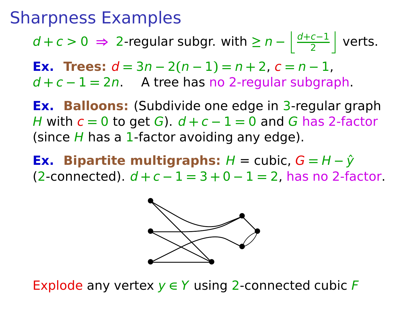$d + c > 0$  ⇒ 2-regular subgr. with  $\geq n - \left\lfloor \frac{d+c-1}{2} \right\rfloor$  $\frac{c-1}{2}$  verts.

**Ex. Trees:**  $d = 3n - 2(n - 1) = n + 2$ ,  $c = n - 1$ , d **+** c **−** 1 **=** 2n. A tree has no 2-regular subgraph.

**Ex. Balloons:** (Subdivide one edge in 3-regular graph H with c **=** 0 to get G). d **+** c **−** 1 **=** 0 and G has 2-factor (since  $H$  has a 1-factor avoiding any edge).

**Ex.** Bipartite multigraphs:  $H = \text{cubic}, G = H - \hat{y}$ (2-connected). d **+** c **−** 1 **=** 3 **+** 0 **−** 1 **=** 2, has no 2-factor.



Explode any vertex y **∈** Y using 2-connected cubic F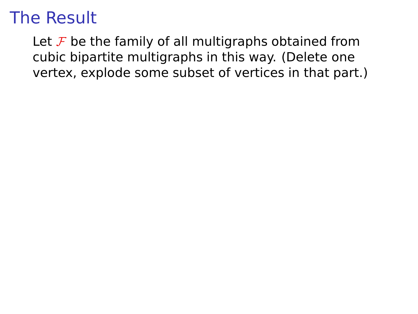Let  $\mathcal F$  be the family of all multigraphs obtained from cubic bipartite multigraphs in this way. (Delete one vertex, explode some subset of vertices in that part.)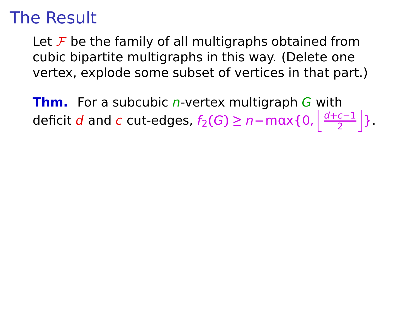Let  $\mathcal F$  be the family of all multigraphs obtained from cubic bipartite multigraphs in this way. (Delete one vertex, explode some subset of vertices in that part.)

**Thm.** For a subcubic *n*-vertex multigraph *G* with deficit  $d$  and  $c$  cut-edges,  $f_2(G) \geq n - \max\{0, \left|\frac{d+c-1}{2}\right|$  $\frac{c-1}{2}$  }.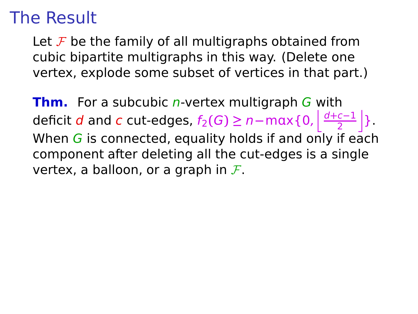Let  $\mathcal F$  be the family of all multigraphs obtained from cubic bipartite multigraphs in this way. (Delete one vertex, explode some subset of vertices in that part.)

**Thm.** For a subcubic *n*-vertex multigraph *G* with deficit  $d$  and  $c$  cut-edges,  $f_2(G) \geq n - \max\{0, \left|\frac{d+c-1}{2}\right|$  $\frac{c-1}{2}$  }. When  $G$  is connected, equality holds if and only if each component after deleting all the cut-edges is a single vertex, a balloon, or a graph in  $\mathcal{F}$ .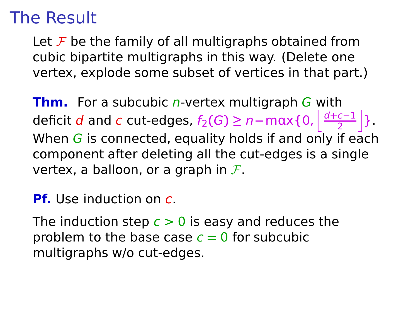Let  $\mathcal F$  be the family of all multigraphs obtained from cubic bipartite multigraphs in this way. (Delete one vertex, explode some subset of vertices in that part.)

**Thm.** For a subcubic *n*-vertex multigraph *G* with deficit  $d$  and  $c$  cut-edges,  $f_2(G) \geq n - \max\{0, \left|\frac{d+c-1}{2}\right|$  $\frac{c-1}{2}$  }. When  $G$  is connected, equality holds if and only if each component after deleting all the cut-edges is a single vertex, a balloon, or a graph in  $\mathcal{F}$ .

**Pf.** Use induction on c.

The induction step  $c > 0$  is easy and reduces the problem to the base case  $c = 0$  for subcubic multigraphs w/o cut-edges.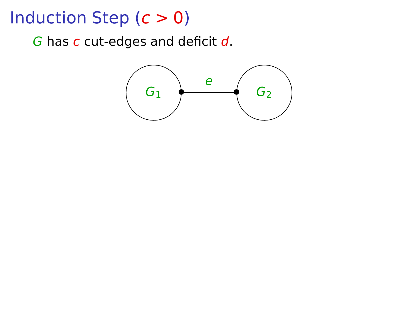$G$  has  $C$  cut-edges and deficit  $d$ .

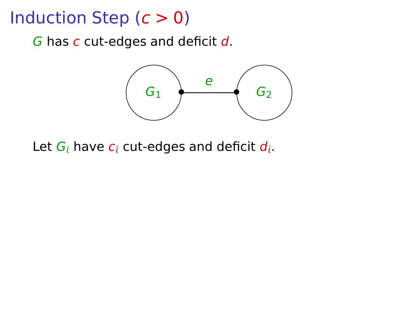$G$  has  $C$  cut-edges and deficit  $d$ .



Let  $G_i$  have  $c_i$  cut-edges and deficit  $d_i$ .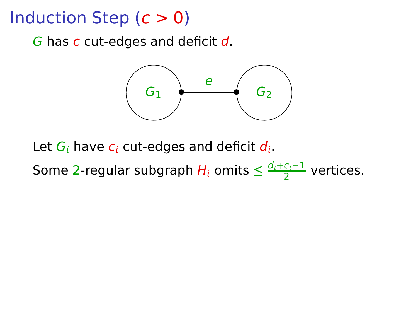G has c cut-edges and deficit d.



Let  $G_i$  have  $c_i$  cut-edges and deficit  $d_i$ .

Some 2-regular subgraph  $H_i$  omits  $\leq \frac{d_i + c_i - 1}{2}$  $\frac{c_i-1}{2}$  vertices.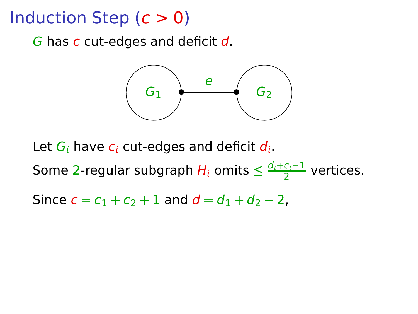G has c cut-edges and deficit d.



Let  $G_i$  have  $c_i$  cut-edges and deficit  $d_i$ . Some 2-regular subgraph  $H_i$  omits  $\leq \frac{d_i + c_i - 1}{2}$  $\frac{c_i-1}{2}$  vertices. Since  $c = c_1 + c_2 + 1$  and  $d = d_1 + d_2 - 2$ ,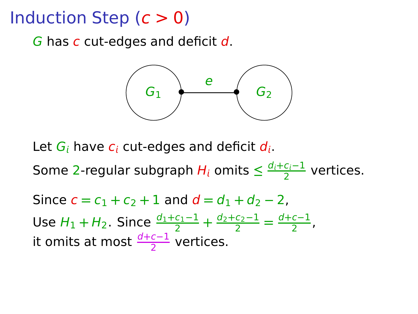G has c cut-edges and deficit d.



Let  $G_i$  have  $c_i$  cut-edges and deficit  $d_i$ .

Some 2-regular subgraph  $H_i$  omits  $\leq \frac{d_i + c_i - 1}{2}$  $\frac{c_i-1}{2}$  vertices.

Since  $c = c_1 + c_2 + 1$  and  $d = d_1 + d_2 - 2$ . Use  $H_1 + H_2$ . Since  $\frac{d_1 + c_1 - 1}{2} + \frac{d_2 + c_2 - 1}{2}$  $\frac{c_2 - 1}{2} = \frac{d + c - 1}{2}$  $\frac{c-1}{2}$ , it omits at most  $\frac{d+c-1}{2}$  vertices.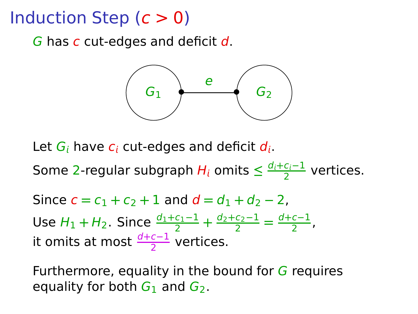G has c cut-edges and deficit d.



Let  $G_i$  have  $c_i$  cut-edges and deficit  $d_i$ .

Some 2-regular subgraph  $H_i$  omits  $\leq \frac{d_i + c_i - 1}{2}$  $\frac{c_i-1}{2}$  vertices.

Since 
$$
c = c_1 + c_2 + 1
$$
 and  $d = d_1 + d_2 - 2$ ,  
Use  $H_1 + H_2$ . Since  $\frac{d_1 + c_1 - 1}{2} + \frac{d_2 + c_2 - 1}{2} = \frac{d_1 + c_1 - 1}{2}$ ,  
it omits at most  $\frac{d_1 + c_1 - 1}{2}$  vertices.

Furthermore, equality in the bound for  $G$  requires equality for both  $G_1$  and  $G_2$ .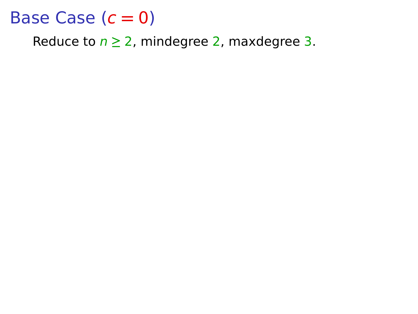Reduce to  $n \ge 2$ , mindegree 2, maxdegree 3.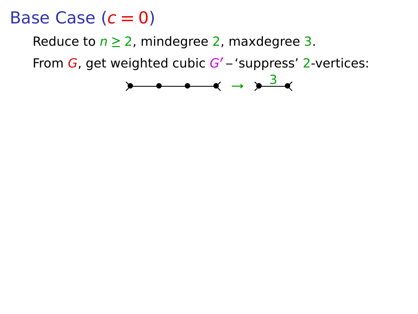Reduce to  $n \geq 2$ , mindegree 2, maxdegree 3.

From G, get weighted cubic G**′** – 'suppress' 2-vertices:

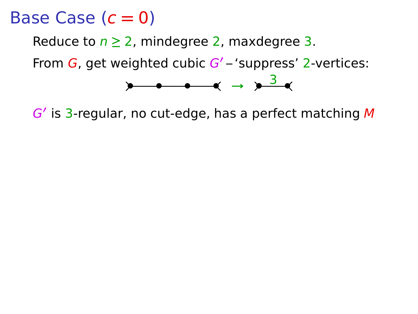Reduce to  $n \geq 2$ , mindegree 2, maxdegree 3.

From G, get weighted cubic G**′** – 'suppress' 2-vertices:



G**′** is 3-regular, no cut-edge, has a perfect matching M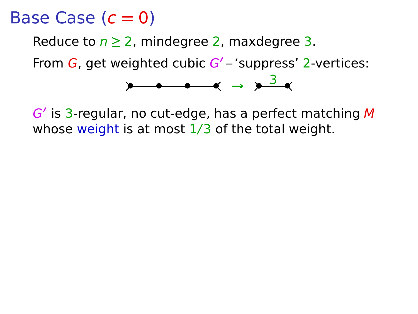Reduce to  $n \geq 2$ , mindegree 2, maxdegree 3.

From G, get weighted cubic G**′** – 'suppress' 2-vertices:



G**′** is 3-regular, no cut-edge, has a perfect matching M whose weight is at most  $1/3$  of the total weight.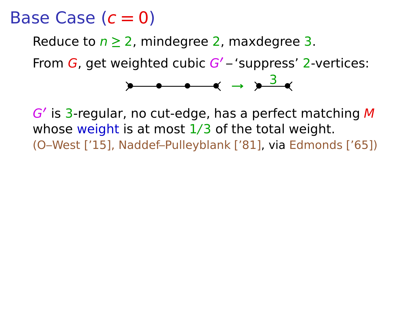Reduce to  $n \geq 2$ , mindegree 2, maxdegree 3.

From G, get weighted cubic G**′** – 'suppress' 2-vertices:



G**′** is 3-regular, no cut-edge, has a perfect matching M whose weight is at most  $1/3$  of the total weight. (O–West ['15], Naddef–Pulleyblank ['81], via Edmonds ['65])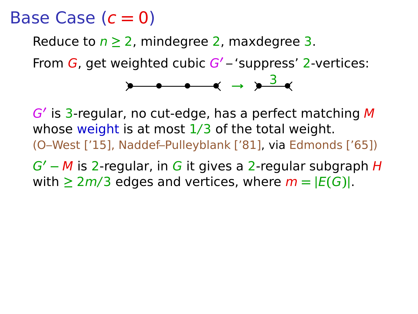Reduce to  $n \geq 2$ , mindegree 2, maxdegree 3.

From G, get weighted cubic G**′** – 'suppress' 2-vertices:



G**′** is 3-regular, no cut-edge, has a perfect matching M whose weight is at most  $1/3$  of the total weight. (O–West ['15], Naddef–Pulleyblank ['81], via Edmonds ['65])

G**′ −** M is 2-regular, in G it gives a 2-regular subgraph H with  $\geq 2m/3$  edges and vertices, where  $m = |E(G)|$ .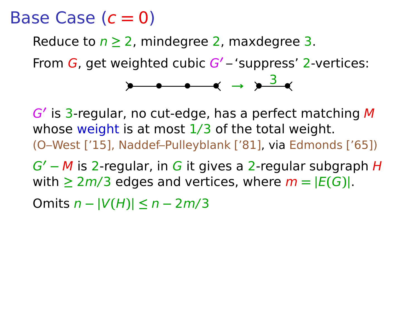Reduce to  $n \geq 2$ , mindegree 2, maxdegree 3.

From G, get weighted cubic G**′** – 'suppress' 2-vertices:



G**′** is 3-regular, no cut-edge, has a perfect matching M whose weight is at most  $1/3$  of the total weight. (O–West ['15], Naddef–Pulleyblank ['81], via Edmonds ['65])

G**′ −** M is 2-regular, in G it gives a 2-regular subgraph H with  $\geq 2m/3$  edges and vertices, where  $m = |E(G)|$ .

Omits n **− |**V**(**H**)| ≤** n **−** 2m/3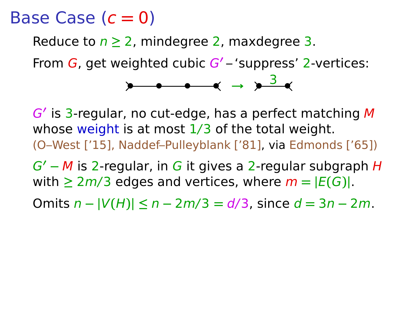Reduce to  $n \geq 2$ , mindegree 2, maxdegree 3.

From G, get weighted cubic G**′** – 'suppress' 2-vertices:

**•** • • • <del>•</del> → <u>**•** 3 ×</u>

G**′** is 3-regular, no cut-edge, has a perfect matching M whose weight is at most  $1/3$  of the total weight. (O–West ['15], Naddef–Pulleyblank ['81], via Edmonds ['65])

G**′ −** M is 2-regular, in G it gives a 2-regular subgraph H with  $\geq 2m/3$  edges and vertices, where  $m = |E(G)|$ .

Omits n **− |**V**(**H**)| ≤** n **−** 2m/3 **=** d/3, since d **=** 3n **−** 2m.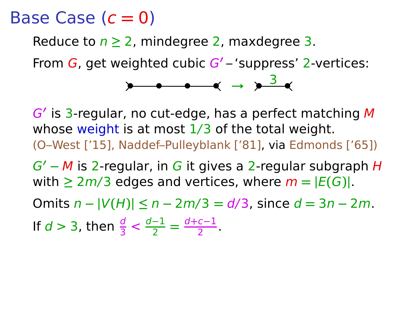Reduce to  $n \geq 2$ , mindegree 2, maxdegree 3.

From G, get weighted cubic G**′** – 'suppress' 2-vertices:

**• • • • <sup>→</sup> • •** <sup>3</sup>

G**′** is 3-regular, no cut-edge, has a perfect matching M whose weight is at most  $1/3$  of the total weight. (O–West ['15], Naddef–Pulleyblank ['81], via Edmonds ['65])

G**′ −** M is 2-regular, in G it gives a 2-regular subgraph H with  $\geq 2m/3$  edges and vertices, where  $m = |E(G)|$ .

Omits n **− |**V**(**H**)| ≤** n **−** 2m/3 **=** d/3, since d **=** 3n **−** 2m.

If  $d > 3$ , then  $\frac{d}{3} < \frac{d-1}{2}$  $\frac{-1}{2} = \frac{d+c-1}{2}$  $\frac{c-1}{2}$ .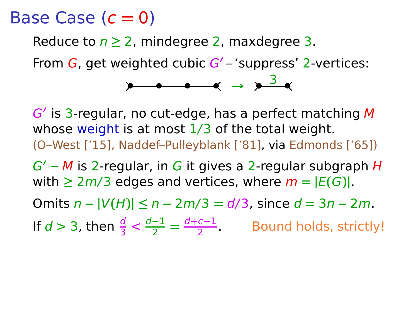Reduce to  $n \geq 2$ , mindegree 2, maxdegree 3.

From G, get weighted cubic G**′** – 'suppress' 2-vertices:

**•** • • • <del>•</del> → <u>**•** 3 ×</u>

G**′** is 3-regular, no cut-edge, has a perfect matching M whose weight is at most  $1/3$  of the total weight. (O–West ['15], Naddef–Pulleyblank ['81], via Edmonds ['65])

G**′ −** M is 2-regular, in G it gives a 2-regular subgraph H with  $\geq 2m/3$  edges and vertices, where  $m = |E(G)|$ .

Omits n **− |**V**(**H**)| ≤** n **−** 2m/3 **=** d/3, since d **=** 3n **−** 2m.

If 
$$
d > 3
$$
, then  $\frac{d}{3} < \frac{d-1}{2} = \frac{d+c-1}{2}$ . Bound holds, strictly!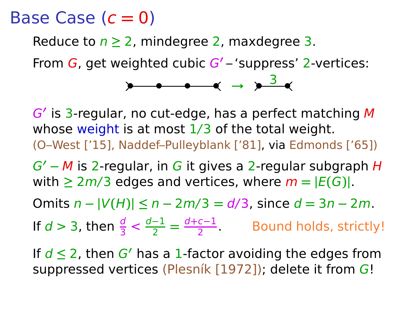Reduce to  $n \geq 2$ , mindegree 2, maxdegree 3.

From G, get weighted cubic G**′** – 'suppress' 2-vertices:

**• • •** • ∢ → <u>**•** 3 ∢</u>

G**′** is 3-regular, no cut-edge, has a perfect matching M whose weight is at most  $1/3$  of the total weight. (O–West ['15], Naddef–Pulleyblank ['81], via Edmonds ['65])

G**′ −** M is 2-regular, in G it gives a 2-regular subgraph H with  $\geq 2m/3$  edges and vertices, where  $m = |E(G)|$ .

Omits n **− |**V**(**H**)| ≤** n **−** 2m/3 **=** d/3, since d **=** 3n **−** 2m.

If 
$$
d > 3
$$
, then  $\frac{d}{3} < \frac{d-1}{2} = \frac{d+c-1}{2}$ . Bound holds, strictly!

If d **≤** 2, then G**′** has a 1-factor avoiding the edges from suppressed vertices (Plesník [1972]); delete it from G!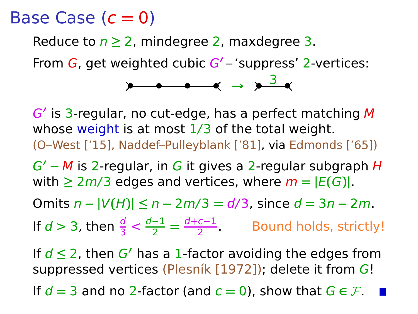Reduce to  $n \geq 2$ , mindegree 2, maxdegree 3.

From G, get weighted cubic G**′** – 'suppress' 2-vertices:

**• • • • <sup>→</sup> • •** <sup>3</sup>

G**′** is 3-regular, no cut-edge, has a perfect matching M whose weight is at most  $1/3$  of the total weight. (O–West ['15], Naddef–Pulleyblank ['81], via Edmonds ['65])

G**′ −** M is 2-regular, in G it gives a 2-regular subgraph H with  $\geq 2m/3$  edges and vertices, where  $m = |E(G)|$ .

Omits n **− |**V**(**H**)| ≤** n **−** 2m/3 **=** d/3, since d **=** 3n **−** 2m.

If 
$$
d > 3
$$
, then  $\frac{d}{3} < \frac{d-1}{2} = \frac{d+c-1}{2}$ . Bound holds, strictly!

If d **≤** 2, then G**′** has a 1-factor avoiding the edges from suppressed vertices (Plesník [1972]); delete it from G! If  $d = 3$  and no 2-factor (and  $c = 0$ ), show that  $G \in \mathcal{F}$ .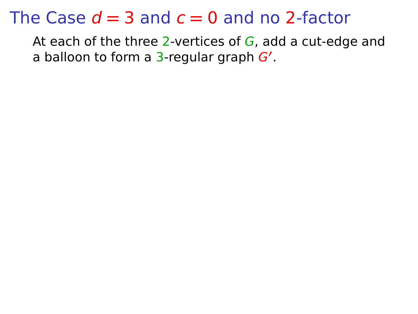At each of the three 2-vertices of  $G$ , add a cut-edge and a balloon to form a 3-regular graph G**′** .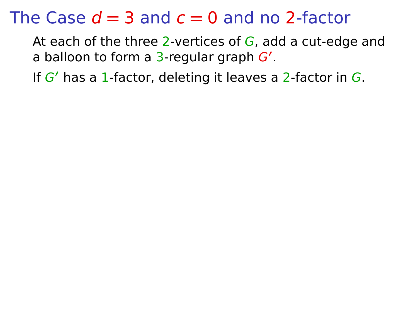At each of the three 2-vertices of  $G$ , add a cut-edge and a balloon to form a 3-regular graph G**′** .

If G**′** has a 1-factor, deleting it leaves a 2-factor in G.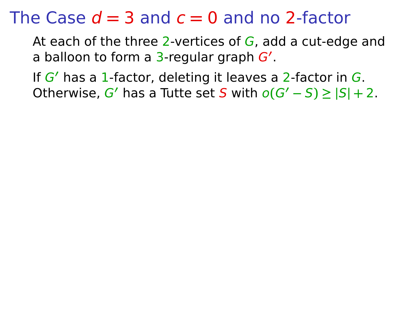At each of the three 2-vertices of  $G$ , add a cut-edge and a balloon to form a 3-regular graph G**′** .

If G**′** has a 1-factor, deleting it leaves a 2-factor in G. Otherwise,  $G'$  has a Tutte set S with  $o(G'-S) \geq |S| + 2$ .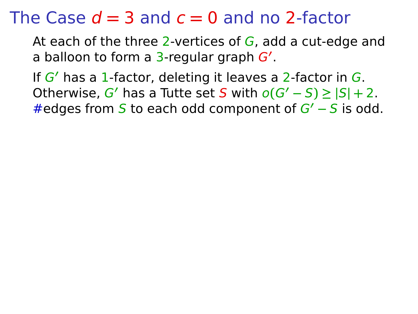At each of the three 2-vertices of  $G$ , add a cut-edge and a balloon to form a 3-regular graph G**′** .

If G**′** has a 1-factor, deleting it leaves a 2-factor in G. Otherwise,  $G'$  has a Tutte set S with  $o(G'-S) \geq |S| + 2$ . #edges from S to each odd component of G**′ −** S is odd.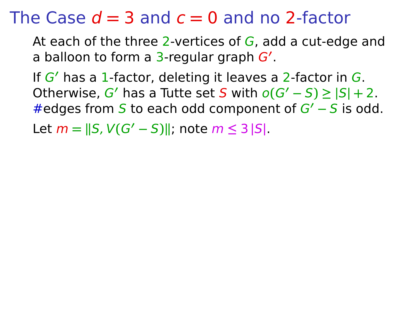At each of the three 2-vertices of  $G$ , add a cut-edge and a balloon to form a 3-regular graph G**′** .

If G**′** has a 1-factor, deleting it leaves a 2-factor in G. Otherwise,  $G'$  has a Tutte set S with  $o(G'-S) \geq |S| + 2$ . #edges from S to each odd component of G**′ −** S is odd.

 $\text{Let } m = \|S, V(G' - S)\|; \text{ note } m \leq 3 \|S\|.$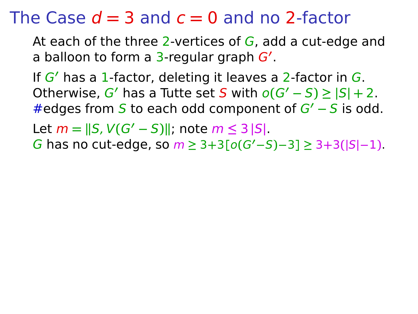At each of the three 2-vertices of  $G$ , add a cut-edge and a balloon to form a 3-regular graph G**′** .

If G**′** has a 1-factor, deleting it leaves a 2-factor in G. Otherwise,  $G'$  has a Tutte set S with  $o(G'-S) \geq |S| + 2$ . #edges from S to each odd component of G**′ −** S is odd.

 $\text{Let } m = \|S, V(G' - S)\|; \text{ note } m \leq 3 \|S\|.$ 

G has no cut-edge, so m **≥** 3**+**3**[**o**(**G**′−**S**)−**3**] ≥** 3**+**3**(|**S**|−**1**)**.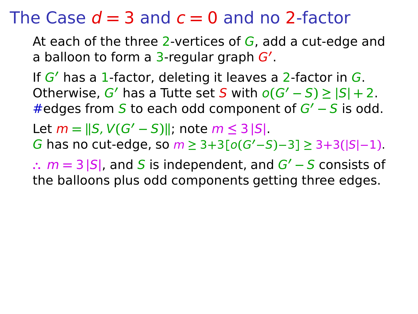At each of the three 2-vertices of  $G$ , add a cut-edge and a balloon to form a 3-regular graph G**′** .

If G**′** has a 1-factor, deleting it leaves a 2-factor in G. Otherwise,  $G'$  has a Tutte set S with  $o(G'-S) \geq |S| + 2$ . #edges from S to each odd component of G**′ −** S is odd.

 $\text{Let } m = \|S, V(G' - S)\|; \text{ note } m \leq 3 \|S\|.$ 

G has no cut-edge, so m **≥** 3**+**3**[**o**(**G**′−**S**)−**3**] ≥** 3**+**3**(|**S**|−**1**)**.

**∴** m **=** 3 **|**S**|**, and S is independent, and G**′ −** S consists of the balloons plus odd components getting three edges.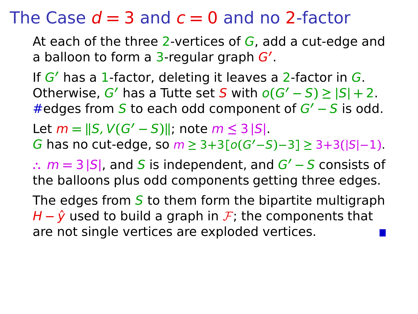At each of the three 2-vertices of  $G$ , add a cut-edge and a balloon to form a 3-regular graph G**′** .

If G**′** has a 1-factor, deleting it leaves a 2-factor in G. Otherwise,  $G'$  has a Tutte set S with  $o(G'-S) \geq |S| + 2$ . #edges from S to each odd component of G**′ −** S is odd.  $\text{Let } m = \|S, V(G' - S)\|; \text{ note } m \leq 3 \|S\|.$ 

G has no cut-edge, so m **≥** 3**+**3**[**o**(**G**′−**S**)−**3**] ≥** 3**+**3**(|**S**|−**1**)**.

**∴** m **=** 3 **|**S**|**, and S is independent, and G**′ −** S consists of the balloons plus odd components getting three edges.

The edges from  $S$  to them form the bipartite multigraph H −  $\hat{y}$  used to build a graph in F; the components that are not single vertices are exploded vertices.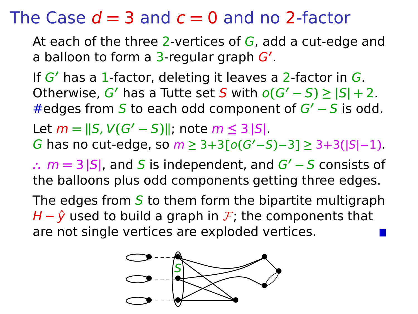At each of the three 2-vertices of  $G$ , add a cut-edge and a balloon to form a 3-regular graph G**′** .

If G**′** has a 1-factor, deleting it leaves a 2-factor in G. Otherwise,  $G'$  has a Tutte set S with  $o(G'-S) \geq |S| + 2$ . #edges from S to each odd component of G**′ −** S is odd.  $\text{Let } m = \|S, V(G' - S)\|; \text{ note } m \leq 3 \|S\|.$ 

G has no cut-edge, so m **≥** 3**+**3**[**o**(**G**′−**S**)−**3**] ≥** 3**+**3**(|**S**|−**1**)**.

**∴** m **=** 3 **|**S**|**, and S is independent, and G**′ −** S consists of the balloons plus odd components getting three edges.

The edges from  $S$  to them form the bipartite multigraph H −  $\hat{y}$  used to build a graph in *F*; the components that are not single vertices are exploded vertices.

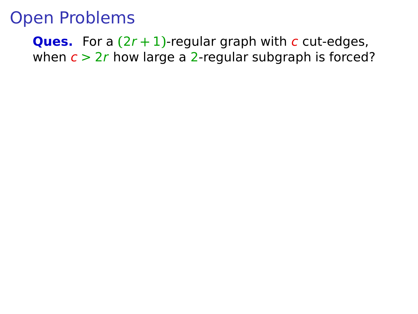**Ques.** For a  $(2r + 1)$ -regular graph with c cut-edges, when  $c > 2r$  how large a 2-regular subgraph is forced?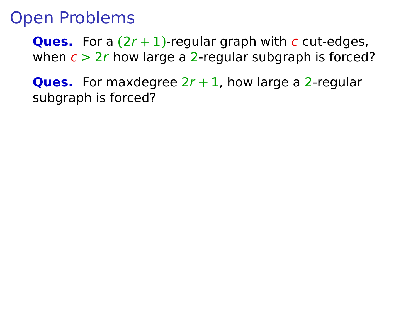**Ques.** For a  $(2r + 1)$ -regular graph with c cut-edges, when  $c > 2r$  how large a 2-regular subgraph is forced?

**Ques.** For maxdegree 2r **+** 1, how large a 2-regular subgraph is forced?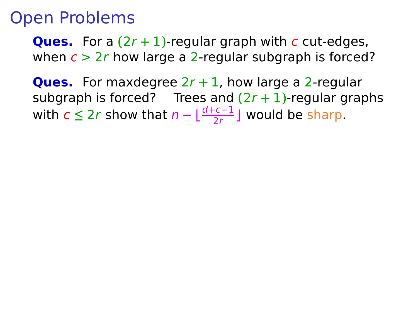**Ques.** For a **(**2r **+** 1**)**-regular graph with c cut-edges, when  $c > 2r$  how large a 2-regular subgraph is forced?

**Ques.** For maxdegree 2r **+** 1, how large a 2-regular subgraph is forced? Trees and  $(2r + 1)$ -regular graphs with  $c ≤ 2r$  show that  $n - \lfloor \frac{d+c-1}{2r} \rfloor$  would be sharp.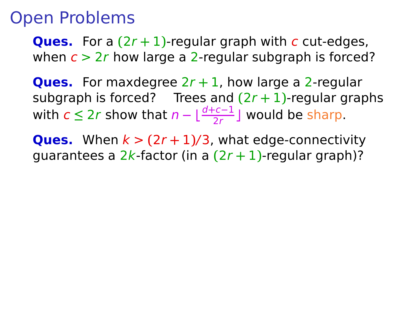**Ques.** For a **(**2r **+** 1**)**-regular graph with c cut-edges, when  $c > 2r$  how large a 2-regular subgraph is forced?

**Ques.** For maxdegree 2r **+** 1, how large a 2-regular subgraph is forced? Trees and  $(2r + 1)$ -regular graphs with  $c ≤ 2r$  show that  $n - \lfloor \frac{d+c-1}{2r} \rfloor$  would be sharp.

**Ques.** When  $k > (2r + 1)/3$ , what edge-connectivity guarantees a 2k-factor (in a **(**2r **+** 1**)**-regular graph)?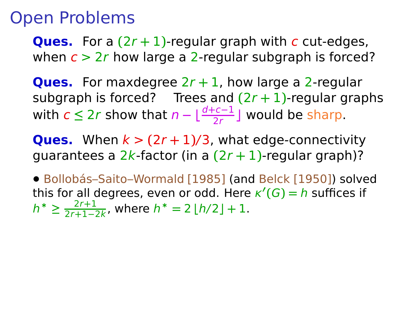**Ques.** For a **(**2r **+** 1**)**-regular graph with c cut-edges, when  $c > 2r$  how large a 2-regular subgraph is forced?

**Ques.** For maxdegree 2r **+** 1, how large a 2-regular subgraph is forced? Trees and  $(2r + 1)$ -regular graphs with  $c ≤ 2r$  show that  $n - \lfloor \frac{d+c-1}{2r} \rfloor$  would be sharp.

**Ques.** When  $k > (2r + 1)/3$ , what edge-connectivity guarantees a 2k-factor (in a **(**2r **+** 1**)**-regular graph)?

**•** Bollobás–Saito–Wormald [1985] (and Belck [1950]) solved this for all degrees, even or odd. Here κ **′ (**G**) =** h suffices if  $h^*$  ≥  $\frac{2r+1}{2r+1-2}$ 2r**+**1**−**2k , where h <sup>∗</sup> **=** 2 **⌊**h/2**⌋ +** 1.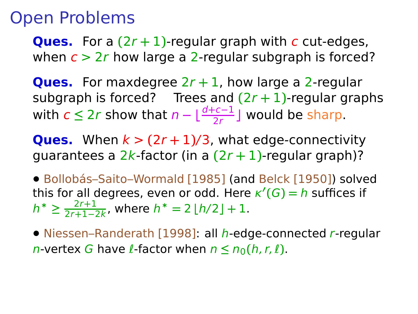## Open Problems

**Ques.** For a **(**2r **+** 1**)**-regular graph with c cut-edges, when  $c > 2r$  how large a 2-regular subgraph is forced?

**Ques.** For maxdegree 2r **+** 1, how large a 2-regular subgraph is forced? Trees and  $(2r + 1)$ -regular graphs with  $c ≤ 2r$  show that  $n - \lfloor \frac{d+c-1}{2r} \rfloor$  would be sharp.

**Ques.** When  $k > (2r + 1)/3$ , what edge-connectivity guarantees a 2k-factor (in a **(**2r **+** 1**)**-regular graph)?

**•** Bollobás–Saito–Wormald [1985] (and Belck [1950]) solved this for all degrees, even or odd. Here κ **′ (**G**) =** h suffices if  $h^*$  ≥  $\frac{2r+1}{2r+1-2}$ 2r**+**1**−**2k , where h <sup>∗</sup> **=** 2 **⌊**h/2**⌋ +** 1.

**•** Niessen–Randerath [1998]: all h-edge-connected r-regular n-vertex G have l-factor when  $n \le n_0(h, r, l)$ .